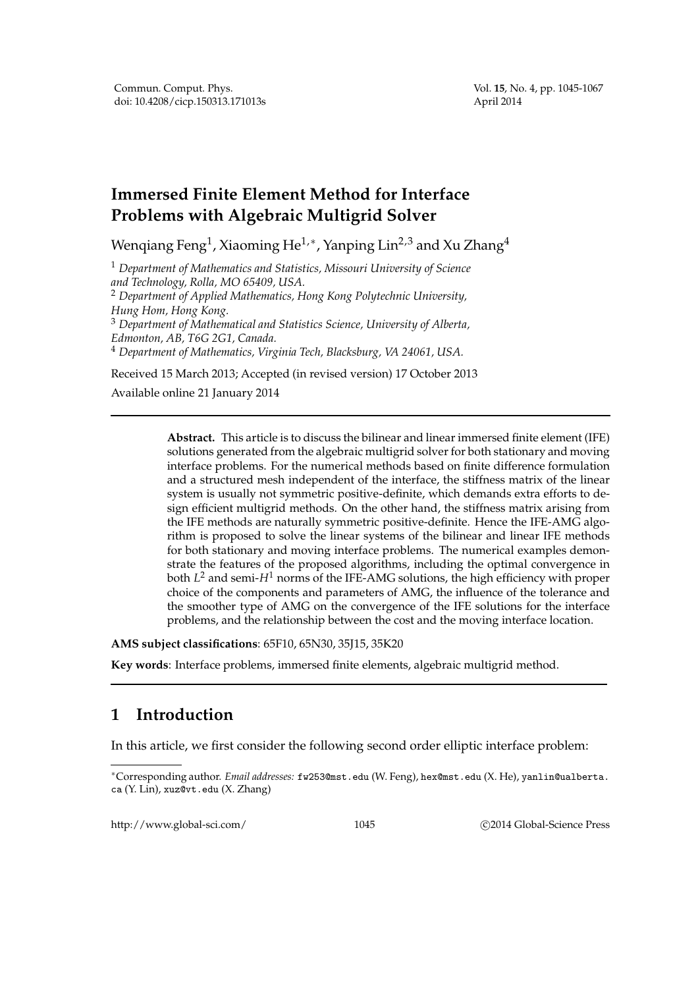# **Immersed Finite Element Method for Interface Problems with Algebraic Multigrid Solver**

Wenqiang Feng $^1$ , Xiaoming He $^{1,\ast}$ , Yanping Lin $^{2,3}$  and Xu Zhang $^4$ 

<sup>1</sup> *Department of Mathematics and Statistics, Missouri University of Science and Technology, Rolla, MO 65409, USA.*

<sup>2</sup> *Department of Applied Mathematics, Hong Kong Polytechnic University, Hung Hom, Hong Kong.*

<sup>3</sup> *Department of Mathematical and Statistics Science, University of Alberta, Edmonton, AB, T6G 2G1, Canada.*

<sup>4</sup> *Department of Mathematics, Virginia Tech, Blacksburg, VA 24061, USA.*

Received 15 March 2013; Accepted (in revised version) 17 October 2013

Available online 21 January 2014

**Abstract.** This article is to discuss the bilinear and linear immersed finite element (IFE) solutions generated from the algebraic multigrid solver for both stationary and moving interface problems. For the numerical methods based on finite difference formulation and a structured mesh independent of the interface, the stiffness matrix of the linear system is usually not symmetric positive-definite, which demands extra efforts to design efficient multigrid methods. On the other hand, the stiffness matrix arising from the IFE methods are naturally symmetric positive-definite. Hence the IFE-AMG algorithm is proposed to solve the linear systems of the bilinear and linear IFE methods for both stationary and moving interface problems. The numerical examples demonstrate the features of the proposed algorithms, including the optimal convergence in both *L* <sup>2</sup> and semi-*H*<sup>1</sup> norms of the IFE-AMG solutions, the high efficiency with proper choice of the components and parameters of AMG, the influence of the tolerance and the smoother type of AMG on the convergence of the IFE solutions for the interface problems, and the relationship between the cost and the moving interface location.

**AMS subject classifications**: 65F10, 65N30, 35J15, 35K20

**Key words**: Interface problems, immersed finite elements, algebraic multigrid method.

## **1 Introduction**

In this article, we first consider the following second order elliptic interface problem:

http://www.global-sci.com/ 1045 c 2014 Global-Science Press

<sup>∗</sup>Corresponding author. *Email addresses:* fw253@mst.edu (W. Feng), hex@mst.edu (X. He), yanlin@ualberta. ca (Y. Lin), xuz@vt.edu (X. Zhang)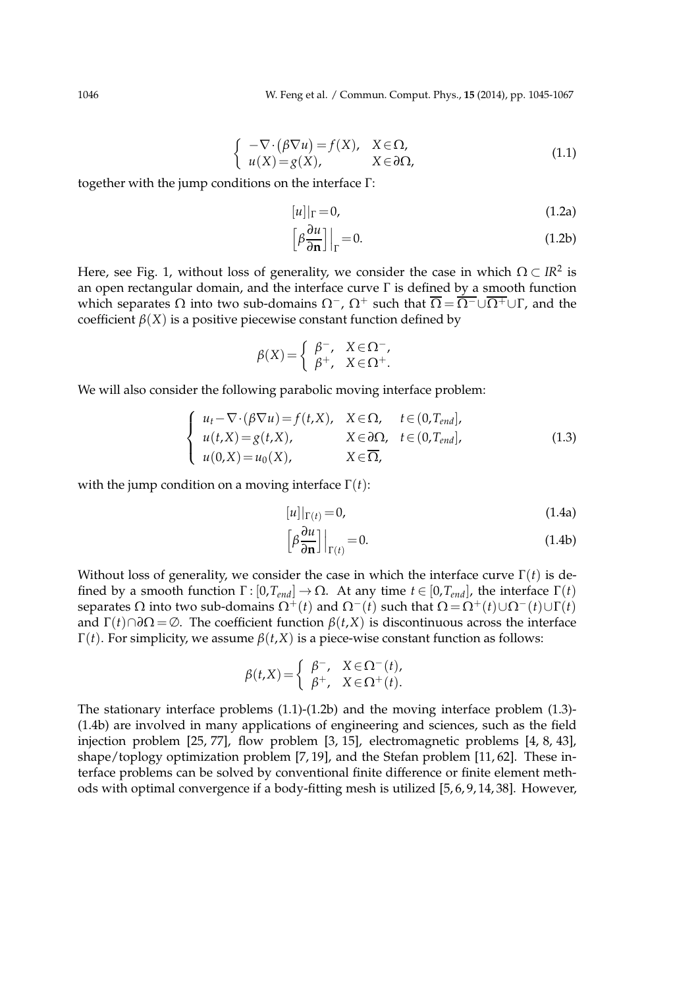$$
\begin{cases}\n-\nabla \cdot (\beta \nabla u) = f(X), & X \in \Omega, \\
u(X) = g(X), & X \in \partial \Omega,\n\end{cases}
$$
\n(1.1)

together with the jump conditions on the interface Γ:

$$
[u]|_{\Gamma} = 0,\t(1.2a)
$$

$$
\left[\beta \frac{\partial u}{\partial \mathbf{n}}\right]\Big|_{\Gamma} = 0. \tag{1.2b}
$$

Here, see Fig. 1, without loss of generality, we consider the case in which  $\Omega \subset I\mathbb{R}^2$  is an open rectangular domain, and the interface curve Γ is defined by a smooth function which separates  $\Omega$  into two sub-domains  $\Omega^-$ ,  $\Omega^+$  such that  $\overline{\Omega} = \overline{\Omega^-} \cup \overline{\Omega^+} \cup \Gamma$ , and the coefficient  $\beta(X)$  is a positive piecewise constant function defined by

$$
\beta(X) = \begin{cases} \beta^-, & X \in \Omega^-, \\ \beta^+, & X \in \Omega^+.\end{cases}
$$

We will also consider the following parabolic moving interface problem:

$$
\begin{cases}\n u_t - \nabla \cdot (\beta \nabla u) = f(t, X), & X \in \Omega, \quad t \in (0, T_{end}], \\
 u(t, X) = g(t, X), & X \in \partial \Omega, \quad t \in (0, T_{end}], \\
 u(0, X) = u_0(X), & X \in \overline{\Omega},\n\end{cases} \tag{1.3}
$$

with the jump condition on a moving interface Γ(*t*):

$$
[u]|_{\Gamma(t)} = 0,\tag{1.4a}
$$

$$
\left[\beta \frac{\partial u}{\partial \mathbf{n}}\right]\Big|_{\Gamma(t)} = 0. \tag{1.4b}
$$

Without loss of generality, we consider the case in which the interface curve  $\Gamma(t)$  is defined by a smooth function  $\Gamma$ : [0,*T*<sub>*end*</sub>] → Ω. At any time  $t \in [0, T_{end}]$ , the interface  $\Gamma(t)$ separates  $Ω$  into two sub-domains  $Ω^{+}(t)$  and  $Ω^{-}(t)$  such that  $Ω = Ω^{+}(t) ∪ Ω^{-}(t) ∪ Γ(t)$ and  $\Gamma(t) \cap \partial \Omega = \emptyset$ . The coefficient function  $\beta(t, X)$  is discontinuous across the interface Γ(*t*). For simplicity, we assume *β*(*t*,*X*) is a piece-wise constant function as follows:

$$
\beta(t,X) = \begin{cases} \beta^-, & X \in \Omega^-(t), \\ \beta^+, & X \in \Omega^+(t). \end{cases}
$$

The stationary interface problems (1.1)-(1.2b) and the moving interface problem (1.3)- (1.4b) are involved in many applications of engineering and sciences, such as the field injection problem [25, 77], flow problem [3, 15], electromagnetic problems [4, 8, 43], shape/toplogy optimization problem [7, 19], and the Stefan problem [11, 62]. These interface problems can be solved by conventional finite difference or finite element methods with optimal convergence if a body-fitting mesh is utilized [5, 6, 9, 14, 38]. However,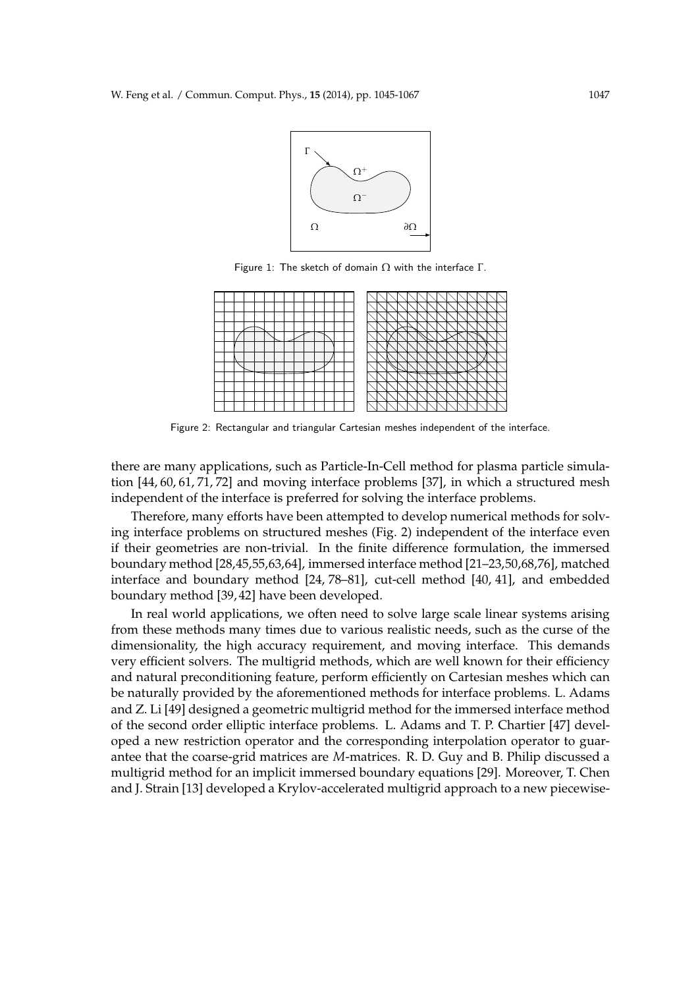

Figure 1: The sketch of domain  $Ω$  with the interface  $Γ$ .



Figure 2: Rectangular and triangular Cartesian meshes independent of the interface.

there are many applications, such as Particle-In-Cell method for plasma particle simulation [44, 60, 61, 71, 72] and moving interface problems [37], in which a structured mesh independent of the interface is preferred for solving the interface problems.

Therefore, many efforts have been attempted to develop numerical methods for solving interface problems on structured meshes (Fig. 2) independent of the interface even if their geometries are non-trivial. In the finite difference formulation, the immersed boundary method [28,45,55,63,64], immersed interface method [21–23,50,68,76], matched interface and boundary method [24, 78–81], cut-cell method [40, 41], and embedded boundary method [39, 42] have been developed.

In real world applications, we often need to solve large scale linear systems arising from these methods many times due to various realistic needs, such as the curse of the dimensionality, the high accuracy requirement, and moving interface. This demands very efficient solvers. The multigrid methods, which are well known for their efficiency and natural preconditioning feature, perform efficiently on Cartesian meshes which can be naturally provided by the aforementioned methods for interface problems. L. Adams and Z. Li [49] designed a geometric multigrid method for the immersed interface method of the second order elliptic interface problems. L. Adams and T. P. Chartier [47] developed a new restriction operator and the corresponding interpolation operator to guarantee that the coarse-grid matrices are *M*-matrices. R. D. Guy and B. Philip discussed a multigrid method for an implicit immersed boundary equations [29]. Moreover, T. Chen and J. Strain [13] developed a Krylov-accelerated multigrid approach to a new piecewise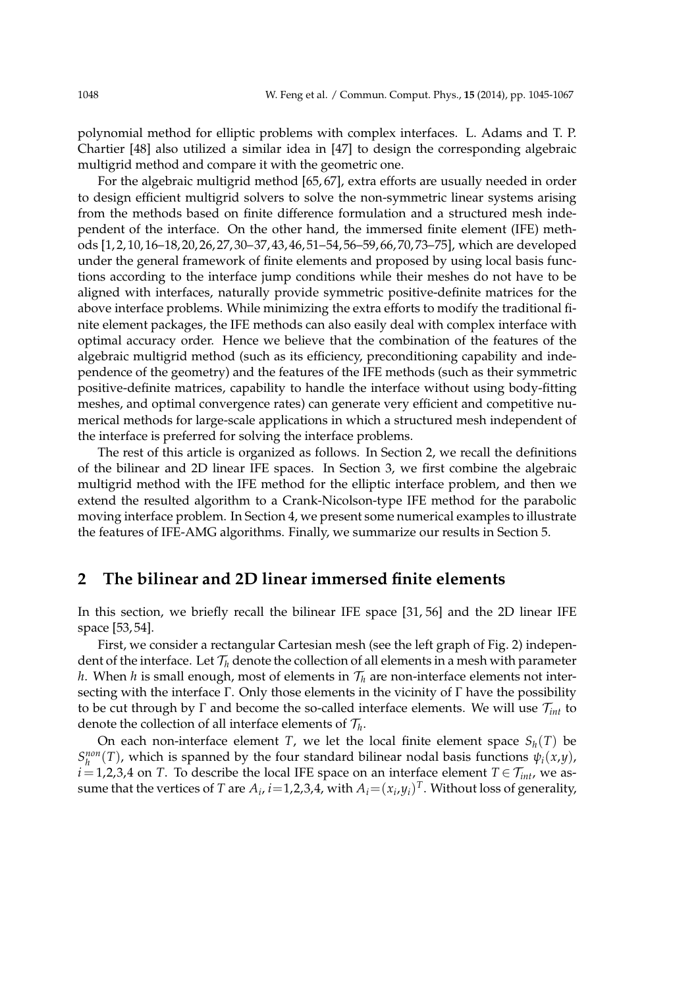polynomial method for elliptic problems with complex interfaces. L. Adams and T. P. Chartier [48] also utilized a similar idea in [47] to design the corresponding algebraic multigrid method and compare it with the geometric one.

For the algebraic multigrid method [65, 67], extra efforts are usually needed in order to design efficient multigrid solvers to solve the non-symmetric linear systems arising from the methods based on finite difference formulation and a structured mesh independent of the interface. On the other hand, the immersed finite element (IFE) methods [1, 2, 10, 16–18, 20, 26, 27, 30–37, 43, 46, 51–54, 56–59, 66, 70, 73–75], which are developed under the general framework of finite elements and proposed by using local basis functions according to the interface jump conditions while their meshes do not have to be aligned with interfaces, naturally provide symmetric positive-definite matrices for the above interface problems. While minimizing the extra efforts to modify the traditional finite element packages, the IFE methods can also easily deal with complex interface with optimal accuracy order. Hence we believe that the combination of the features of the algebraic multigrid method (such as its efficiency, preconditioning capability and independence of the geometry) and the features of the IFE methods (such as their symmetric positive-definite matrices, capability to handle the interface without using body-fitting meshes, and optimal convergence rates) can generate very efficient and competitive numerical methods for large-scale applications in which a structured mesh independent of the interface is preferred for solving the interface problems.

The rest of this article is organized as follows. In Section 2, we recall the definitions of the bilinear and 2D linear IFE spaces. In Section 3, we first combine the algebraic multigrid method with the IFE method for the elliptic interface problem, and then we extend the resulted algorithm to a Crank-Nicolson-type IFE method for the parabolic moving interface problem. In Section 4, we present some numerical examples to illustrate the features of IFE-AMG algorithms. Finally, we summarize our results in Section 5.

### **2 The bilinear and 2D linear immersed finite elements**

In this section, we briefly recall the bilinear IFE space [31, 56] and the 2D linear IFE space [53, 54].

First, we consider a rectangular Cartesian mesh (see the left graph of Fig. 2) independent of the interface. Let  $\mathcal{T}_h$  denote the collection of all elements in a mesh with parameter *h*. When *h* is small enough, most of elements in  $\mathcal{T}_h$  are non-interface elements not intersecting with the interface Γ. Only those elements in the vicinity of Γ have the possibility to be cut through by Γ and become the so-called interface elements. We will use T*int* to denote the collection of all interface elements of  $\mathcal{T}_h$ .

On each non-interface element *T*, we let the local finite element space  $S_h(T)$  be  $S_h^{non}(T)$ , which is spanned by the four standard bilinear nodal basis functions  $\psi_i(x,y)$ ,  $\vec{i} = 1,2,3,4$  on *T*. To describe the local IFE space on an interface element  $T \in \mathcal{T}_{int}$ , we assume that the vertices of  $T$  are  $A_i$ ,  $i{=}1,2,3,4$ , with  $A_i{=}({x}_i,y_i)^T$ . Without loss of generality,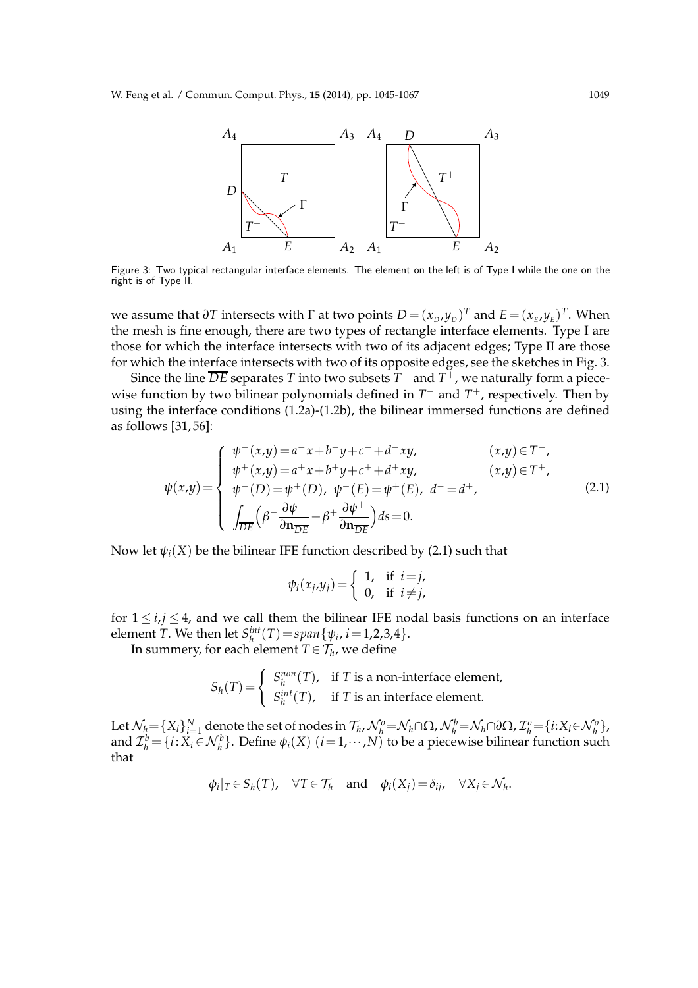

Figure 3: Two typical rectangular interface elements. The element on the left is of Type I while the one on the right is of Type II.

we assume that  $\partial T$  intersects with  $\Gamma$  at two points  $D = (x_D, y_D)^T$  and  $E = (x_E, y_E)^T$ . When the mesh is fine enough, there are two types of rectangle interface elements. Type I are those for which the interface intersects with two of its adjacent edges; Type II are those for which the interface intersects with two of its opposite edges, see the sketches in Fig. 3.

Since the line  $\overline{DE}$  separates  $T$  into two subsets  $T^-$  and  $T^+$ , we naturally form a piecewise function by two bilinear polynomials defined in  $T^-$  and  $T^+$ , respectively. Then by using the interface conditions (1.2a)-(1.2b), the bilinear immersed functions are defined as follows [31, 56]:

$$
\psi(x,y) = \begin{cases}\n\psi^-(x,y) = a^- x + b^- y + c^- + d^- xy, & (x,y) \in T^-, \\
\psi^+(x,y) = a^+ x + b^+ y + c^+ + d^+ xy, & (x,y) \in T^+, \\
\psi^-(D) = \psi^+(D), & \psi^-(E) = \psi^+(E), & d^- = d^+, \\
\int_{\overline{DE}} \left(\beta^- \frac{\partial \psi^-}{\partial \mathbf{n}_{\overline{DE}}} - \beta^+ \frac{\partial \psi^+}{\partial \mathbf{n}_{\overline{DE}}}\right) ds = 0.\n\end{cases}
$$
\n(2.1)

Now let  $\psi_i(X)$  be the bilinear IFE function described by (2.1) such that

$$
\psi_i(x_j,y_j) = \begin{cases} 1, & \text{if } i=j, \\ 0, & \text{if } i \neq j, \end{cases}
$$

for  $1 \le i, j \le 4$ , and we call them the bilinear IFE nodal basis functions on an interface element *T*. We then let  $S_h^{int}(T) = span{\psi_i, i = 1, 2, 3, 4}.$ 

In summery, for each element  $T$   $\in$   $\mathcal{T}_h$ , we define

$$
S_h(T) = \begin{cases} S_h^{non}(T), & \text{if } T \text{ is a non-interface element,} \\ S_h^{int}(T), & \text{if } T \text{ is an interface element.} \end{cases}
$$

Let  $\mathcal{N}_h = \{X_i\}_{i=1}^N$  denote the set of nodes in  $\mathcal{T}_h$ ,  $\mathcal{N}_h^o = \mathcal{N}_h \cap \Omega$ ,  $\mathcal{N}_h^b = \mathcal{N}_h \cap \partial \Omega$ ,  $\mathcal{I}_h^o = \{i: X_i \in \mathcal{N}_h^o\}$ , and  $\mathcal{I}_h^b = \{i : X_i \in \mathcal{N}_h^b\}$ . Define  $\phi_i(X)$   $(i = 1, \cdots, N)$  to be a piecewise bilinear function such that

$$
\phi_i|_T \in S_h(T)
$$
,  $\forall T \in \mathcal{T}_h$  and  $\phi_i(X_j) = \delta_{ij}$ ,  $\forall X_j \in \mathcal{N}_h$ .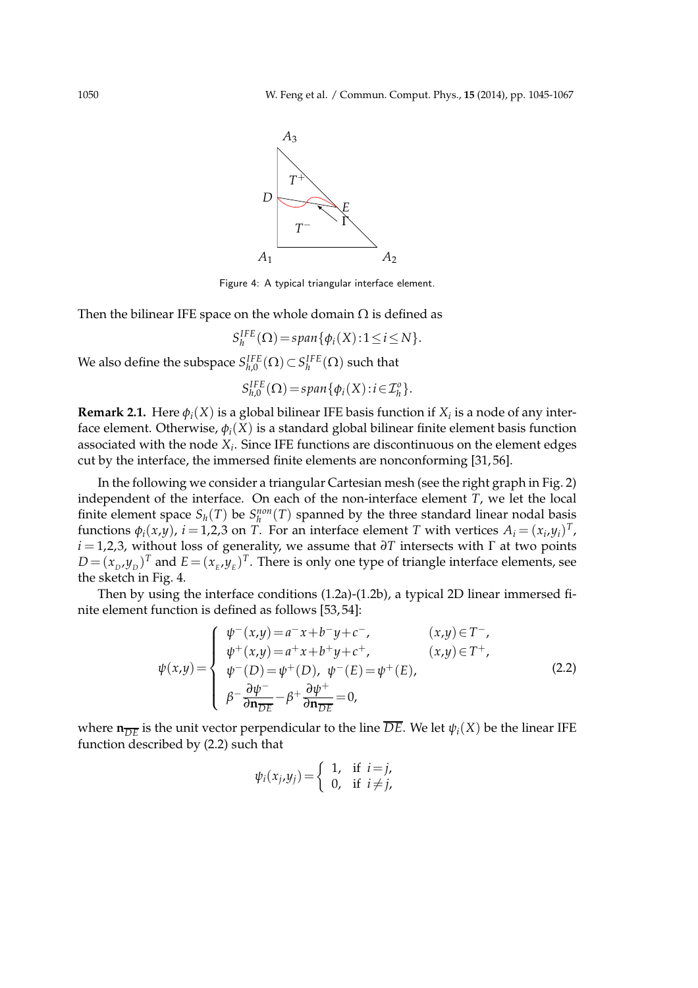

Figure 4: A typical triangular interface element.

Then the bilinear IFE space on the whole domain  $\Omega$  is defined as

$$
S_h^{IFE}(\Omega) = span{\phi_i(X) : 1 \le i \le N}.
$$

We also define the subspace  $S_{h,0}^{IFE}(\Omega)$   $\subset$   $S_h^{IFE}(\Omega)$  such that

$$
S_{h,0}^{IFE}(\Omega) = span{\phi_i(X) : i \in \mathcal{I}_h^o}.
$$

**Remark 2.1.** Here  $\phi_i(X)$  is a global bilinear IFE basis function if  $X_i$  is a node of any interface element. Otherwise,  $\phi_i(X)$  is a standard global bilinear finite element basis function associated with the node *X<sup>i</sup>* . Since IFE functions are discontinuous on the element edges cut by the interface, the immersed finite elements are nonconforming [31, 56].

In the following we consider a triangular Cartesian mesh (see the right graph in Fig. 2) independent of the interface. On each of the non-interface element *T*, we let the local finite element space  $S_h(T)$  be  $S_h^{non}(T)$  spanned by the three standard linear nodal basis functions  $\phi_i(x,y)$ ,  $i = 1,2,3$  on *T*. For an interface element *T* with vertices  $A_i = (x_i, y_i)^T$ , *i* = 1,2,3, without loss of generality, we assume that *∂T* intersects with Γ at two points  $D = (x_D, y_D)^T$  and  $E = (x_E, y_E)^T$ . There is only one type of triangle interface elements, see the sketch in Fig. 4.

Then by using the interface conditions (1.2a)-(1.2b), a typical 2D linear immersed finite element function is defined as follows [53, 54]:

$$
\psi(x,y) = \begin{cases}\n\psi^-(x,y) = a^- x + b^- y + c^-, & (x,y) \in T^-, \\
\psi^+(x,y) = a^+ x + b^+ y + c^+, & (x,y) \in T^+, \\
\psi^-(D) = \psi^+(D), & \psi^-(E) = \psi^+(E), \\
\beta^- \frac{\partial \psi^-}{\partial \mathbf{n}_{\overline{DE}}} - \beta^+ \frac{\partial \psi^+}{\partial \mathbf{n}_{\overline{DE}}} = 0,\n\end{cases}
$$
\n(2.2)

where  $\mathbf{n}_{\overline{DE}}$  is the unit vector perpendicular to the line  $\overline{DE}$ . We let  $\psi_i(X)$  be the linear IFE function described by (2.2) such that

$$
\psi_i(x_j,y_j) = \begin{cases} 1, & \text{if } i=j, \\ 0, & \text{if } i \neq j, \end{cases}
$$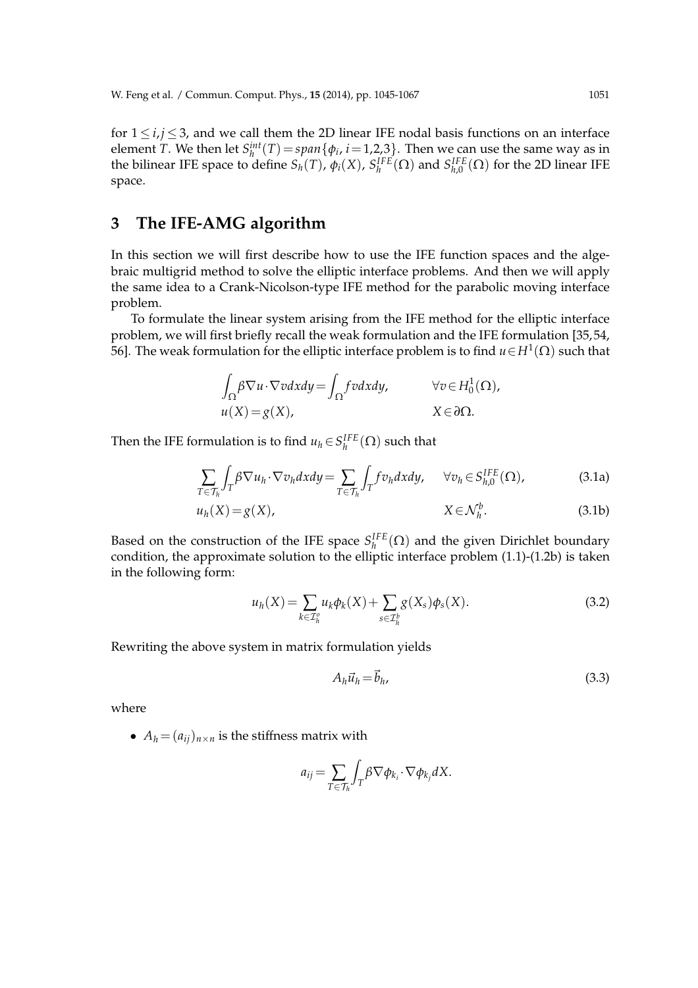for  $1 \le i, j \le 3$ , and we call them the 2D linear IFE nodal basis functions on an interface element *T*. We then let  $S_h^{int}(T) = span{\phi_i, i = 1,2,3}$ . Then we can use the same way as in the bilinear IFE space to define  $S_h(T)$ ,  $\phi_i(X)$ ,  $S_h^{IFE}(\Omega)$  and  $S_{h,0}^{IFE}(\Omega)$  for the 2D linear IFE space.

## **3 The IFE-AMG algorithm**

In this section we will first describe how to use the IFE function spaces and the algebraic multigrid method to solve the elliptic interface problems. And then we will apply the same idea to a Crank-Nicolson-type IFE method for the parabolic moving interface problem.

To formulate the linear system arising from the IFE method for the elliptic interface problem, we will first briefly recall the weak formulation and the IFE formulation [35, 54, 56]. The weak formulation for the elliptic interface problem is to find *u*∈*H*<sup>1</sup> (Ω) such that

$$
\int_{\Omega} \beta \nabla u \cdot \nabla v dx dy = \int_{\Omega} f v dx dy, \qquad \forall v \in H_0^1(\Omega),
$$
  

$$
u(X) = g(X), \qquad X \in \partial \Omega.
$$

Then the IFE formulation is to find  $u_h \in S_h^{IFE}(\Omega)$  such that

$$
\sum_{T \in \mathcal{T}_h} \int_T \beta \nabla u_h \cdot \nabla v_h dx dy = \sum_{T \in \mathcal{T}_h} \int_T f v_h dx dy, \quad \forall v_h \in S_{h,0}^{IFE}(\Omega), \tag{3.1a}
$$

$$
u_h(X) = g(X), \qquad X \in \mathcal{N}_h^b. \tag{3.1b}
$$

Based on the construction of the IFE space  $S_h^{IFE}(\Omega)$  and the given Dirichlet boundary condition, the approximate solution to the elliptic interface problem (1.1)-(1.2b) is taken in the following form:

$$
u_h(X) = \sum_{k \in \mathcal{I}_h^o} u_k \phi_k(X) + \sum_{s \in \mathcal{I}_h^b} g(X_s) \phi_s(X).
$$
 (3.2)

Rewriting the above system in matrix formulation yields

$$
A_h \vec{u}_h = \vec{b}_h,\tag{3.3}
$$

where

•  $A_h = (a_{ii})_{n \times n}$  is the stiffness matrix with

$$
a_{ij} = \sum_{T \in \mathcal{T}_h} \int_T \beta \nabla \phi_{k_i} \cdot \nabla \phi_{k_j} dX.
$$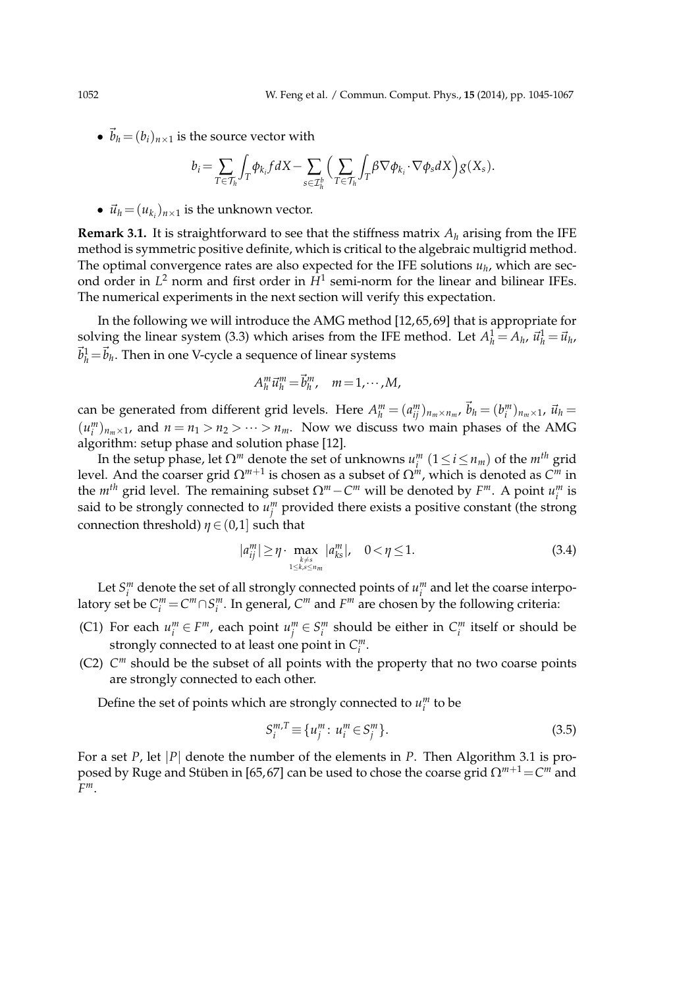•  $\vec{b}_h = (b_i)_{n \times 1}$  is the source vector with

$$
b_i = \sum_{T \in \mathcal{T}_h} \int_T \phi_{k_i} f dX - \sum_{s \in \mathcal{I}_h^b} \Big( \sum_{T \in \mathcal{T}_h} \int_T \beta \nabla \phi_{k_i} \cdot \nabla \phi_s dX \Big) g(X_s).
$$

•  $\vec{u}_h = (u_{k_i})_{n \times 1}$  is the unknown vector.

**Remark 3.1.** It is straightforward to see that the stiffness matrix *A<sup>h</sup>* arising from the IFE method is symmetric positive definite, which is critical to the algebraic multigrid method. The optimal convergence rates are also expected for the IFE solutions *u<sup>h</sup>* , which are second order in *L* <sup>2</sup> norm and first order in *H*<sup>1</sup> semi-norm for the linear and bilinear IFEs. The numerical experiments in the next section will verify this expectation.

In the following we will introduce the AMG method [12, 65, 69] that is appropriate for solving the linear system (3.3) which arises from the IFE method. Let  $A_h^1 = A_h$ ,  $\vec{u}_h^1 = \vec{u}_h$ ,  $\vec{b}_h^1 = \vec{b}_h$ . Then in one V-cycle a sequence of linear systems

$$
A_h^m \vec{u}_h^m = \vec{b}_h^m, \quad m = 1, \cdots, M,
$$

can be generated from different grid levels. Here  $A_h^m = (a_{ij}^m)_{n_m \times n_m}$ ,  $\vec{b}_h = (b_i^m)_{n_m \times 1}$ ,  $\vec{u}_h =$  $(u_i^m)_{n_m \times 1}$ , and  $n = n_1 > n_2 > \cdots > n_m$ . Now we discuss two main phases of the AMG algorithm: setup phase and solution phase [12].

In the setup phase, let  $\Omega^m$  denote the set of unknowns  $u_i^m$   $(1 \leq i \leq n_m)$  of the  $m^{th}$  grid level. And the coarser grid  $\Omega^{m+1}$  is chosen as a subset of  $\Omega^m$ , which is denoted as  $C^m$  in the  $m^{th}$  grid level. The remaining subset  $\Omega^m - C^m$  will be denoted by  $F^m$ . A point  $u_i^m$  is said to be strongly connected to  $u_j^m$  provided there exists a positive constant (the strong connection threshold)  $\eta \in (0,1]$  such that

$$
|a_{ij}^m| \geq \eta \cdot \max_{\substack{k \neq s \\ 1 \leq k, s \leq n_m}} |a_{ks}^m|, \quad 0 < \eta \leq 1. \tag{3.4}
$$

Let  $S_i^m$  denote the set of all strongly connected points of  $u_i^m$  and let the coarse interpolatory set be  $C_i^m = C^m \cap S_i^m$ . In general,  $C^m$  and  $F^m$  are chosen by the following criteria:

- (C1) For each  $u_i^m \in F^m$ , each point  $u_j^m \in S_i^m$  should be either in  $C_i^m$  itself or should be strongly connected to at least one point in  $C_i^m$ .
- (C2) *C <sup>m</sup>* should be the subset of all points with the property that no two coarse points are strongly connected to each other.

Define the set of points which are strongly connected to  $u_i^m$  to be

$$
S_i^{m,T} \equiv \{u_j^m : u_i^m \in S_j^m\}.
$$
\n(3.5)

For a set *P*, let |*P*| denote the number of the elements in *P*. Then Algorithm 3.1 is proposed by Ruge and Stüben in [65,67] can be used to chose the coarse grid  $\Omega^{m+1}{=}\mathcal{C}^m$  and *F m*.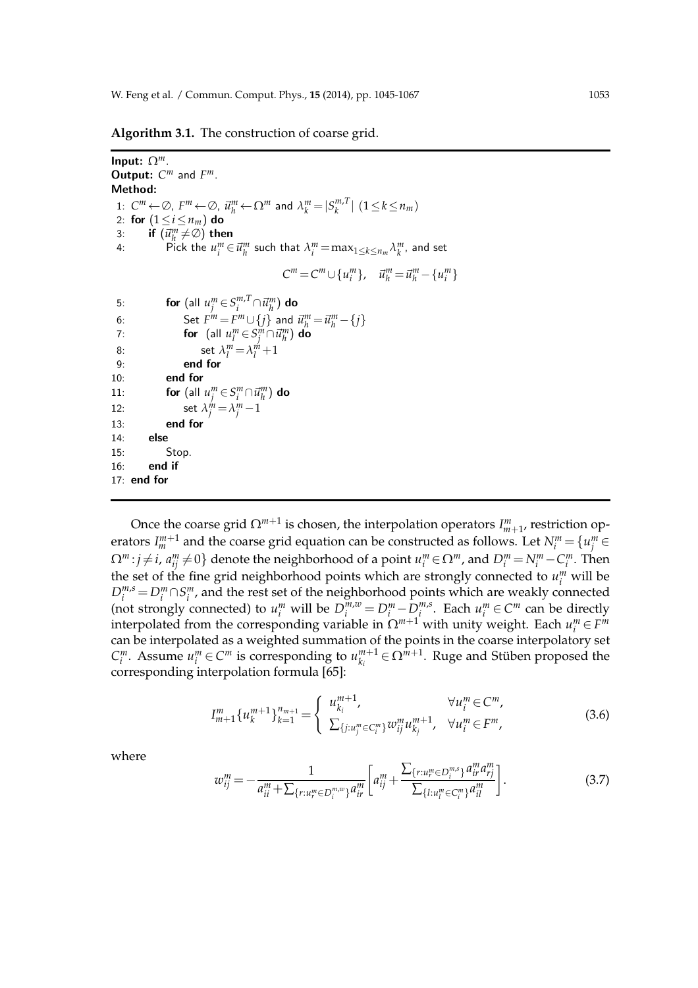**Algorithm 3.1.** The construction of coarse grid.

Input: Ω*m*. **Output:**  $C^m$  and  $F^m$ . Method: 1:  $C^m \leftarrow \emptyset$ ,  $F^m \leftarrow \emptyset$ ,  $\vec{u}_h^m \leftarrow \Omega^m$  and  $\lambda_k^m = |S_k^{m,T}|$  $\binom{m,1}{k}$   $(1 \leq k \leq n_m)$ 2: for  $(1 \le i \le n_m)$  do 3: **if**  $(\vec{u}_h^m \neq \emptyset)$  then 4: Pick the  $u_i^m \in \vec{u}_h^m$  such that  $\lambda_i^m = \max_{1 \le k \le n_m} \lambda_k^m$ , and set  $C^m = C^m \cup \{u_i^m\}, \quad \vec{u}_h^m = \vec{u}_h^m - \{u_i^m\}$ 5: **for** (all  $u_j^m \in S_i^{m,T}$  $C^{m,T}_{i}\cap \vec{u}^m_h)$  do 6: Set  $F^m = F^m \cup \{j\}$  and  $\vec{u}_h^m = \vec{u}_h^m - \{j\}$ 7: **for**  $(\text{all } u_l^m \in S_j^m \cap \vec{u}_{h}^m)$  do 8: set  $\lambda_l^m = \lambda_l^m + 1$ 9: end for 10: end for 11: **for**  $(\text{all } u_j^m \in S_i^m \cap \vec{u}_h^m)$  do 12: set  $\lambda_j^m = \lambda_j^m - 1$ 13: end for  $14<sup>°</sup>$  else 15: Stop. 16: end if 17: end for

Once the coarse grid  $\Omega^{m+1}$  is chosen, the interpolation operators  $I_{m+1}^m$ , restriction operators  $I_m^{m+1}$  and the coarse grid equation can be constructed as follows. Let  $N_i^m$  =  $\{u_j^m$   $\in$  $\Omega^m$ : $j\neq i$ ,  $a^m_{ij}\neq 0\}$  denote the neighborhood of a point  $u^m_i$   $\in$   $\Omega^m$ , and  $D^m_i$   $=$   $N^m_i$   $C^m_i$ . Then the set of the fine grid neighborhood points which are strongly connected to  $u_i^m$  will be  $D_i^{m,s} = D_i^m \cap S_i^m$ , and the rest set of the neighborhood points which are weakly connected (not strongly connected) to  $u_i^m$  will be  $D_i^{m,w} = D_i^m - D_i^{m,s}$  $\sum_{i}^{m,s}$ . Each  $u_i^m \in C^m$  can be directly interpolated from the corresponding variable in  $\Omega^{m+1}$  with unity weight. Each  $u_i^m \in F^m$ can be interpolated as a weighted summation of the points in the coarse interpolatory set *C*<sup>*m*</sup>. Assume  $u_i^m \in C^m$  is corresponding to  $u_{k_i}^{m+1}$  $e_{k_i}^{m+1}$  ∈  $\Omega^{m+1}$ . Ruge and Stüben proposed the corresponding interpolation formula [65]:

$$
I_{m+1}^{m} \{u_{k}^{m+1}\}_{k=1}^{n_{m+1}} = \begin{cases} u_{k_{i}}^{m+1}, & \forall u_{i}^{m} \in C^{m}, \\ \sum_{\{j:u_{j}^{m} \in C_{i}^{m}\}} w_{ij}^{m} u_{k_{j}}^{m+1}, & \forall u_{i}^{m} \in F^{m}, \end{cases}
$$
(3.6)

where

$$
w_{ij}^{m} = -\frac{1}{a_{ii}^{m} + \sum_{\{r: u_{r}^{m} \in D_{i}^{m,w}\}} a_{ir}^{m}} \left[a_{ij}^{m} + \frac{\sum_{\{r: u_{r}^{m} \in D_{i}^{m,s}\}} a_{ir}^{m} a_{rj}^{m}}{\sum_{\{l: u_{l}^{m} \in C_{i}^{m}\}} a_{il}^{m}}\right].
$$
\n(3.7)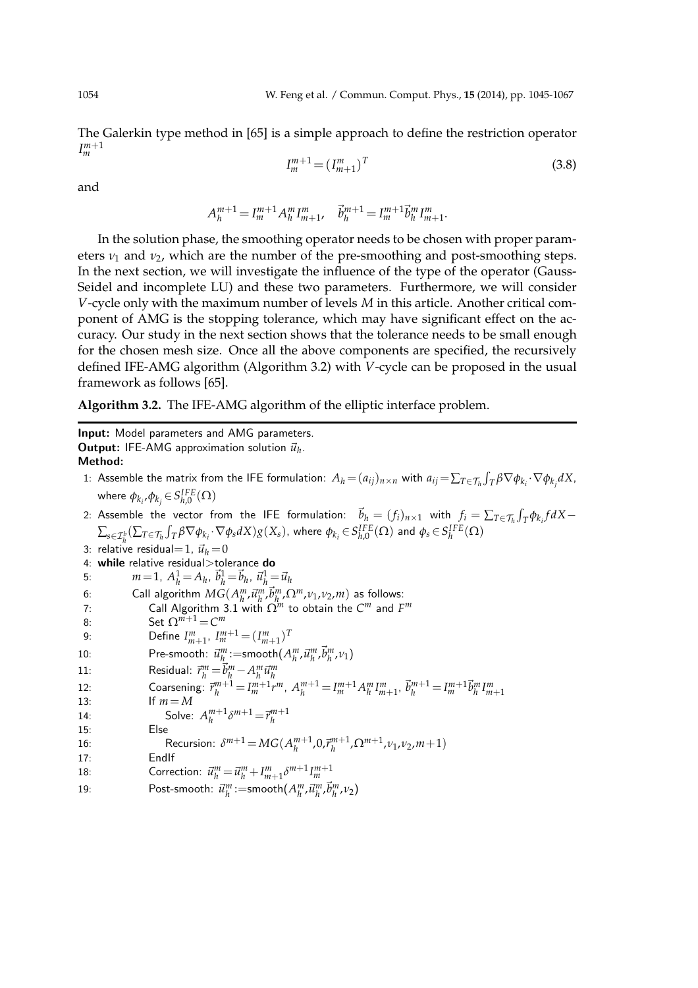The Galerkin type method in [65] is a simple approach to define the restriction operator *I m*+1 *m*

$$
I_m^{m+1} = (I_{m+1}^m)^T
$$
\n(3.8)

and

$$
A_h^{m+1} = I_m^{m+1} A_h^m I_{m+1}^m, \quad \vec{b}_h^{m+1} = I_m^{m+1} \vec{b}_h^m I_{m+1}^m.
$$

In the solution phase, the smoothing operator needs to be chosen with proper parameters  $\nu_1$  and  $\nu_2$ , which are the number of the pre-smoothing and post-smoothing steps. In the next section, we will investigate the influence of the type of the operator (Gauss-Seidel and incomplete LU) and these two parameters. Furthermore, we will consider *V*-cycle only with the maximum number of levels *M* in this article. Another critical component of AMG is the stopping tolerance, which may have significant effect on the accuracy. Our study in the next section shows that the tolerance needs to be small enough for the chosen mesh size. Once all the above components are specified, the recursively defined IFE-AMG algorithm (Algorithm 3.2) with *V*-cycle can be proposed in the usual framework as follows [65].

**Algorithm 3.2.** The IFE-AMG algorithm of the elliptic interface problem.

Input: Model parameters and AMG parameters. **Output:** IFE-AMG approximation solution  $\vec{u}_h$ . Method: 1: Assemble the matrix from the IFE formulation:  $A_h\!=\!(a_{ij})_{n\times n}$  with  $a_{ij}\!=\!\sum_{T\in\mathcal{T}_h}\int_T\beta\nabla\phi_{k_i}\!\cdot\!\nabla\phi_{k_j}dX$ , where  $\phi_{k_i}, \phi_{k_j} \in S_{h,0}^{IFE}(\Omega)$ 2: Assemble the vector from the IFE formulation:  $\vec{b}_h = (f_i)_{n \times 1}$  with  $f_i = \sum_{T \in \mathcal{T}_h} \int_T \phi_{k_i} f dX$  $\sum_{s\in\mathcal{I}^b_h}(\sum_{T\in\mathcal{T}_h}\int_T\beta\nabla\phi_{k_i}\cdot\nabla\phi_s dX)g(X_s)$ , where  $\phi_{k_i}\!\in\!S^{IFE}_{h,0}(\Omega)$  and  $\phi_s\!\in\!S^{IFE}_h(\Omega)$ 3: relative residual=1,  $\vec{u}_h = 0$ 4: while relative residual>tolerance do 5:  $m=1, A_h^1 = A_h, \ \vec{b}_h^1 = \vec{b}_h, \ \vec{u}_h^1 = \vec{u}_h$ 6: Call algorithm  $MG(A_n^m, \vec{u}_h^m, \vec{b}_{h}^m, \Omega^m, \nu_1, \nu_2, m)$  as follows: 7: Call Algorithm 3.1 with  $\Omega^m$  to obtain the  $C^m$  and  $F^m$ 8: Set  $\Omega^{m+1} = C^m$ 9: Define  $I_{m+1}^m$ ,  $I_m^{m+1} = (I_{m+1}^m)^T$ 10: Pre-smooth:  $\vec{u}^m_{h} := \text{smooth}(A^m_h, \vec{u}^m_h, \vec{b}^m_h, \nu_1)$ 11:<br>
Residual:  $\vec{r}_h^m = \vec{b}_h^m - A_h^m \vec{u}_h^m$ <br>
12:<br>
Coarsening:  $\vec{r}_h^{m+1} = I_m^{m+1} r^m$ ,  $A_h^{m+1} = I_m^{m+1} A_h^m I_{m+1}^m$ ,  $\vec{b}_h^{m+1} = I_m^{m+1} \vec{b}_h^m I_{m+1}^m$ 13: If  $m = M$ 14: Solve:  $A_h^{m+1} \delta^{m+1} = \vec{r}_h^{m+1}$ 15: Else 16: Recursion:  $\delta^{m+1} = MG(A_{h}^{m+1}, 0, \vec{r}_{h}^{m+1}, \Omega^{m+1}, \nu_1, \nu_2, m+1)$ 17: EndIf 18: Correction:  $\vec{u}_h^m = \vec{u}_h^m + I_{m+1}^m \delta^{m+1} I_m^{m+1}$ 19: Post-smooth:  $\vec{u}_h^m := \text{smooth}(A_h^m, \vec{u}_h^m, \vec{b}_h^m, \nu_2)$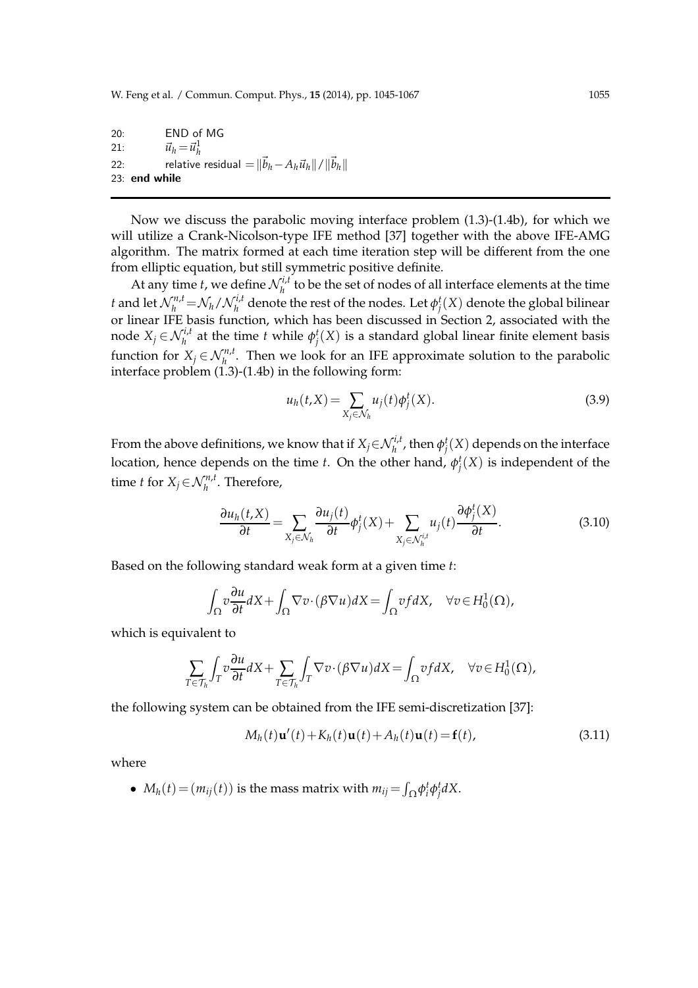20: END of MG 21:  $\vec{u}_h = \vec{u}_h^1$ 22: relative residual =  $\|\vec{b}_h - A_h\vec{u}_h\|/\|\vec{b}_h\|$ 23: end while

Now we discuss the parabolic moving interface problem (1.3)-(1.4b), for which we will utilize a Crank-Nicolson-type IFE method [37] together with the above IFE-AMG algorithm. The matrix formed at each time iteration step will be different from the one from elliptic equation, but still symmetric positive definite.

At any time *t*, we define  $\mathcal{N}_h^{i,t}$  $h_h^{\tau,\mu}$  to be the set of nodes of all interface elements at the time *t* and let  $\mathcal{N}_h^{n,t} = \mathcal{N}_h / \mathcal{N}_h^{i,t}$  $\gamma_h^{\prime t,l}$  denote the rest of the nodes. Let  $\phi_j^t(X)$  denote the global bilinear or linear IFE basis function, which has been discussed in Section 2, associated with the node  $X_j \in \mathcal{N}_h^{i,t}$  at the time *t* while  $\phi_j^t(X)$  is a standard global linear finite element basis function for  $X_j \in \mathcal{N}_h^{n,t}$ . Then we look for an IFE approximate solution to the parabolic interface problem  $(1.3)$ - $(1.4b)$  in the following form:

$$
u_h(t, X) = \sum_{X_j \in \mathcal{N}_h} u_j(t) \phi_j^t(X).
$$
\n(3.9)

From the above definitions, we know that if  $X_j{\in}{\mathcal N}_h^{i,t}$ , then  $\phi_j^t(X)$  depends on the interface location, hence depends on the time *t*. On the other hand,  $\phi_j^t(X)$  is independent of the time *t* for  $X_j \in \mathcal{N}_h^{n,t}$ . Therefore,

$$
\frac{\partial u_h(t, X)}{\partial t} = \sum_{X_j \in \mathcal{N}_h} \frac{\partial u_j(t)}{\partial t} \phi_j^t(X) + \sum_{X_j \in \mathcal{N}_h^{i,t}} u_j(t) \frac{\partial \phi_j^t(X)}{\partial t}.
$$
(3.10)

Based on the following standard weak form at a given time *t*:

$$
\int_{\Omega} v \frac{\partial u}{\partial t} dX + \int_{\Omega} \nabla v \cdot (\beta \nabla u) dX = \int_{\Omega} v f dX, \quad \forall v \in H_0^1(\Omega),
$$

which is equivalent to

$$
\sum_{T\in\mathcal{T}_h}\int_T v\frac{\partial u}{\partial t}dX+\sum_{T\in\mathcal{T}_h}\int_T \nabla v\cdot(\beta\nabla u)dX=\int_{\Omega}vf dX,\quad \forall v\in H_0^1(\Omega),
$$

the following system can be obtained from the IFE semi-discretization [37]:

$$
M_h(t)\mathbf{u}'(t) + K_h(t)\mathbf{u}(t) + A_h(t)\mathbf{u}(t) = \mathbf{f}(t),
$$
\n(3.11)

where

•  $M_h(t) = (m_{ij}(t))$  is the mass matrix with  $m_{ij} = \int_{\Omega} \phi_i^t \phi_j^t dX$ .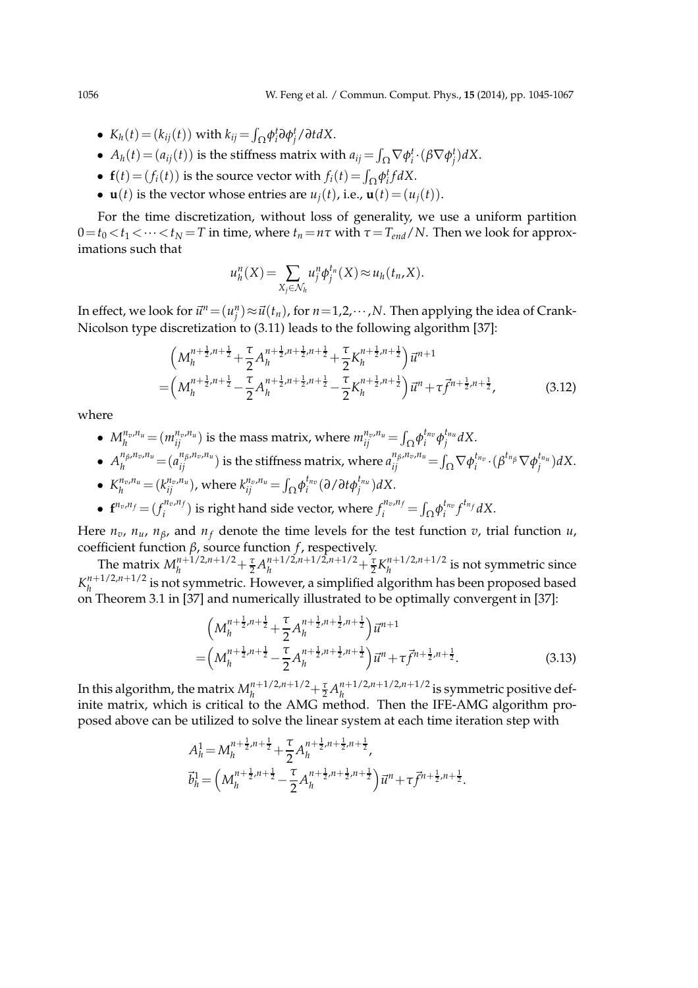- $K_h(t) = (k_{ij}(t))$  with  $k_{ij} = \int_{\Omega} \phi_i^t \partial \phi_j^t / \partial t dX$ .
- $A_h(t) = (a_{ij}(t))$  is the stiffness matrix with  $a_{ij} = \int_{\Omega} \nabla \phi_i^t \cdot (\beta \nabla \phi_j^t) dX$ .
- **f**(*t*) = ( $f_i(t)$ ) is the source vector with  $f_i(t) = \int_{\Omega} \phi_i^t f dX$ .
- **u**(*t*) is the vector whose entries are  $u_i(t)$ , i.e.,  $\mathbf{u}(t) = (u_i(t))$ .

For the time discretization, without loss of generality, we use a uniform partition  $0 = t_0 < t_1 < \cdots < t_N = T$  in time, where  $t_n = n\tau$  with  $\tau = T_{end}/N$ . Then we look for approximations such that

$$
u_h^n(X) = \sum_{X_j \in \mathcal{N}_h} u_j^n \phi_j^{t_n}(X) \approx u_h(t_n, X).
$$

In effect, we look for  $\vec{u}^n = (u_j^n) \approx \vec{u}(t_n)$ , for  $n = 1, 2, \cdots, N$ . Then applying the idea of Crank-Nicolson type discretization to (3.11) leads to the following algorithm [37]:

$$
\left(M_h^{n+\frac{1}{2},n+\frac{1}{2}} + \frac{\tau}{2}A_h^{n+\frac{1}{2},n+\frac{1}{2},n+\frac{1}{2}} + \frac{\tau}{2}K_h^{n+\frac{1}{2},n+\frac{1}{2}}\right)\vec{u}^{n+1} = \left(M_h^{n+\frac{1}{2},n+\frac{1}{2}} - \frac{\tau}{2}A_h^{n+\frac{1}{2},n+\frac{1}{2}} - \frac{\tau}{2}K_h^{n+\frac{1}{2},n+\frac{1}{2}}\right)\vec{u}^n + \tau\vec{f}^{n+\frac{1}{2},n+\frac{1}{2}},
$$
\n(3.12)

where

- $M_h^{n_v, n_u} = (m_{ij}^{n_v, n_u})$  is the mass matrix, where  $m_{ij}^{n_v, n_u} = \int_{\Omega} \phi_i^{t_{n_v}}$  $e^{t_{n_v}}$ φ $^{{t_{n_u}}}$ *j dX*.
- $\bullet~~ A_h^{n_\beta,n_v,n_u} \!=\! (a_{ij}^{n_\beta,n_v,n_u})$  is the stiffness matrix, where  $a_{ij}^{n_\beta,n_v,n_u} \!=\! \int_\Omega \nabla \phi_i^{t_{n_v}}\!\cdot\!(\beta^{t_{n_\beta}} \nabla \phi_j^{t_{n_u}}) dX.$

• 
$$
K_h^{n_v,n_u} = (k_{ij}^{n_v,n_u})
$$
, where  $k_{ij}^{n_v,n_u} = \int_{\Omega} \phi_i^{t_{nv}} (\partial / \partial t \phi_j^{t_{nu}}) dX$ .

•  ${\bf f}^{n_v, n_f} = (f_i^{n_v, n_f})$  $f^{n_v, n_f}_i$ ) is right hand side vector, where  $f^{n_v, n_f}_i = \int_{\Omega} \phi^{t_{n_v}}_i$  $\int_i^{t_{n_v}} f^{t_{n_f}} dX$ .

Here  $n_v$ ,  $n_u$ ,  $n_\beta$ , and  $n_f$  denote the time levels for the test function  $v$ , trial function  $u$ , coefficient function *β*, source function *f* , respectively.

The matrix  $M_h^{n+1/2,n+1/2} + \frac{\tau}{2} A_h^{n+1/2,n+1/2,n+1/2} + \frac{\tau}{2} K_h^{n+1/2,n+1/2}$  $\int_{h}^{h+1/2,h+1/2}$  is not symmetric since  $K_h^{n+1/2,n+1/2}$  $\sum_{h}$ <sup>n+1/2,n+1/<sup>2</sup> is not symmetric. However, a simplified algorithm has been proposed based</sup> on Theorem 3.1 in [37] and numerically illustrated to be optimally convergent in [37]:

$$
\left(M_h^{n+\frac{1}{2},n+\frac{1}{2}} + \frac{\tau}{2} A_h^{n+\frac{1}{2},n+\frac{1}{2},n+\frac{1}{2}}\right) \vec{u}^{n+1}
$$
\n
$$
= \left(M_h^{n+\frac{1}{2},n+\frac{1}{2}} - \frac{\tau}{2} A_h^{n+\frac{1}{2},n+\frac{1}{2},n+\frac{1}{2}}\right) \vec{u}^n + \tau \vec{f}^{n+\frac{1}{2},n+\frac{1}{2}}.
$$
\n(3.13)

In this algorithm, the matrix  $M_h^{n+1/2,n+1/2} + \frac{\tau}{2} A_h^{n+1/2,n+1/2,n+1/2}$  $\int_{h}^{n+1/2,n+1/2,n+1/2}$  is symmetric positive definite matrix, which is critical to the AMG method. Then the IFE-AMG algorithm proposed above can be utilized to solve the linear system at each time iteration step with

$$
A_h^1 = M_h^{n + \frac{1}{2}, n + \frac{1}{2}} + \frac{\tau}{2} A_h^{n + \frac{1}{2}, n + \frac{1}{2}, n + \frac{1}{2}} ,
$$
  

$$
\vec{b}_h^1 = \left( M_h^{n + \frac{1}{2}, n + \frac{1}{2}} - \frac{\tau}{2} A_h^{n + \frac{1}{2}, n + \frac{1}{2}, n + \frac{1}{2}} \right) \vec{u}^n + \tau \vec{f}^{n + \frac{1}{2}, n + \frac{1}{2}} .
$$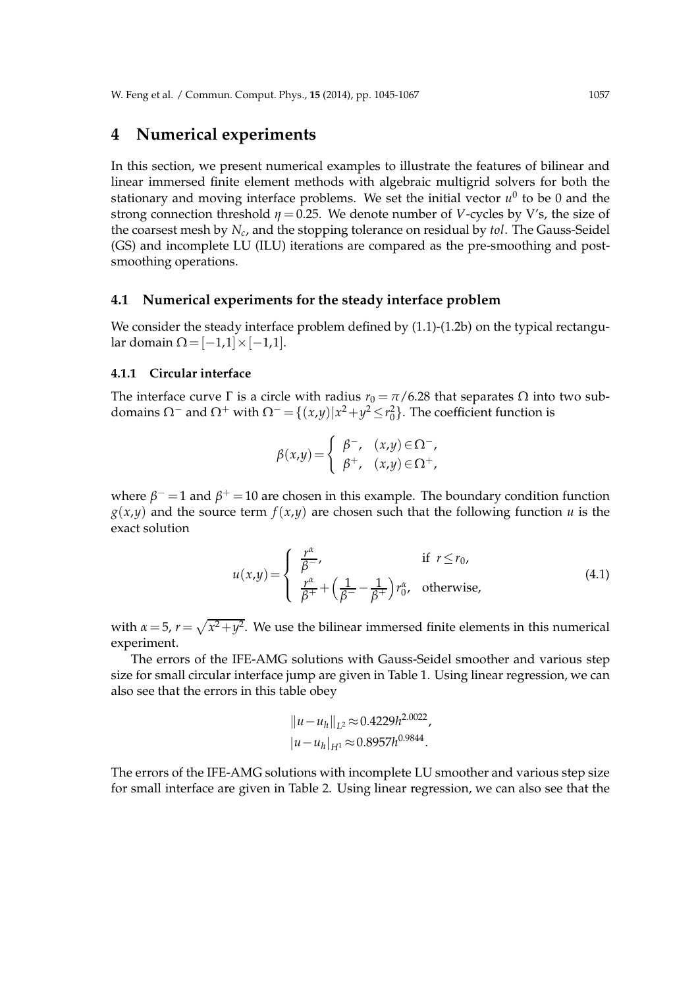### **4 Numerical experiments**

In this section, we present numerical examples to illustrate the features of bilinear and linear immersed finite element methods with algebraic multigrid solvers for both the stationary and moving interface problems. We set the initial vector  $u^0$  to be 0 and the strong connection threshold  $\eta = 0.25$ . We denote number of *V*-cycles by *V's*, the size of the coarsest mesh by *N<sup>c</sup>* , and the stopping tolerance on residual by *tol*. The Gauss-Seidel (GS) and incomplete LU (ILU) iterations are compared as the pre-smoothing and postsmoothing operations.

#### **4.1 Numerical experiments for the steady interface problem**

We consider the steady interface problem defined by  $(1.1)-(1.2b)$  on the typical rectangular domain  $\Omega = [-1,1] \times [-1,1]$ .

#### **4.1.1 Circular interface**

The interface curve  $\Gamma$  is a circle with radius  $r_0 = \pi/6.28$  that separates  $\Omega$  into two subdomains  $\Omega^-$  and  $\Omega^+$  with  $\Omega^- = \{(x,y)|x^2+y^2 \le r_0^2\}$ . The coefficient function is

$$
\beta(x,y) = \begin{cases} \beta^-, & (x,y) \in \Omega^-, \\ \beta^+, & (x,y) \in \Omega^+, \end{cases}
$$

where  $\beta$ <sup>-</sup> = 1 and  $\beta$ <sup>+</sup> = 10 are chosen in this example. The boundary condition function  $g(x,y)$  and the source term  $f(x,y)$  are chosen such that the following function *u* is the exact solution

$$
u(x,y) = \begin{cases} \frac{r^{\alpha}}{\beta^{-}}, & \text{if } r \le r_0, \\ \frac{r^{\alpha}}{\beta^{+}} + \left(\frac{1}{\beta^{-}} - \frac{1}{\beta^{+}}\right) r_0^{\alpha}, & \text{otherwise,} \end{cases}
$$
(4.1)

with  $\alpha = 5$ ,  $r = \sqrt{x^2 + y^2}$ . We use the bilinear immersed finite elements in this numerical experiment.

The errors of the IFE-AMG solutions with Gauss-Seidel smoother and various step size for small circular interface jump are given in Table 1. Using linear regression, we can also see that the errors in this table obey

$$
||u - u_h||_{L^2} \approx 0.4229h^{2.0022},
$$
  

$$
|u - u_h|_{H^1} \approx 0.8957h^{0.9844}.
$$

The errors of the IFE-AMG solutions with incomplete LU smoother and various step size for small interface are given in Table 2. Using linear regression, we can also see that the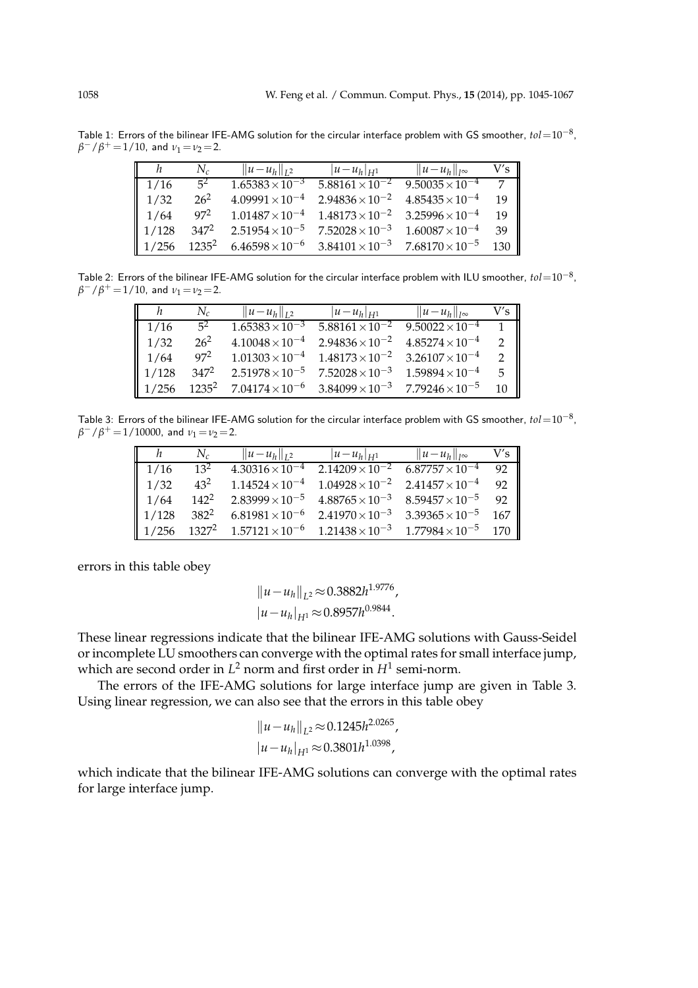Table 1: Errors of the bilinear IFE-AMG solution for the circular interface problem with GS smoother, *tol*=10−<sup>8</sup> ,  $\beta^-/\beta^+ = 1/10$ , and  $\nu_1 = \nu_2 = 2$ .

| h     | $N_c$             | $  u - u_h  _{L^2}$      | $ u-u_h _{H^1}$          | $  u-u_h  _{l^{\infty}}$ | V's |
|-------|-------------------|--------------------------|--------------------------|--------------------------|-----|
| 1/16  | $5^2$             | $1.65383 \times 10^{-3}$ | $5.88161 \times 10^{-2}$ | $9.50035 \times 10^{-4}$ |     |
| 1/32  | $26^{2}$          | $4.09991 \times 10^{-4}$ | $2.94836 \times 10^{-2}$ | $4.85435\times10^{-4}$   | 19  |
| 1/64  | 97 <sup>2</sup>   | $1.01487 \times 10^{-4}$ | $1.48173\times10^{-2}$   | $3.25996 \times 10^{-4}$ | 19  |
| 1/128 | 347 <sup>2</sup>  | $2.51954 \times 10^{-5}$ | $7.52028\times10^{-3}$   | $1.60087\times10^{-4}$   | 39  |
| 1/256 | 1235 <sup>2</sup> | $6.46598\times10^{-6}$   | $3.84101 \times 10^{-3}$ | $7.68170\times10^{-5}$   | 130 |

Table 2: Errors of the bilinear IFE-AMG solution for the circular interface problem with ILU smoother, *tol*=10−<sup>8</sup> ,  $\beta^-/\beta^+ = 1/10$ , and  $\nu_1 = \nu_2 = 2$ .

| h.                | $N_c$    | $  u - u_h  _{L^2}$               | $ u-u_h _{H^1}$          | $  u-u_h  _{I^{\infty}}$ | V′s ∥         |
|-------------------|----------|-----------------------------------|--------------------------|--------------------------|---------------|
| 1/16              | $5^2$    | $1.65383 \times 10^{-3}$          | $5.88161 \times 10^{-2}$ | $9.50022\times10^{-4}$   |               |
| 1/32              | $26^{2}$ | $4.10048\times10^{-4}$            | $2.94836 \times 10^{-2}$ | $4.85274\times10^{-4}$   |               |
| 1/64              | $97^2$   | $1.01303 \times 10^{-4}$          | $1.48173\times10^{-2}$   | $3.26107 \times 10^{-4}$ |               |
| $\parallel$ 1/128 | $347^2$  | $2.51978 \times 10^{-5}$          | $7.52028\times10^{-3}$   | $1.59894 \times 10^{-4}$ | $5 \parallel$ |
| $\parallel$ 1/256 |          | $1235^2$ $7.04174 \times 10^{-6}$ | $3.84099\times10^{-3}$   | $7.79246 \times 10^{-5}$ | 10            |

Table 3: Errors of the bilinear IFE-AMG solution for the circular interface problem with GS smoother, *tol*=10−<sup>8</sup> ,  $\beta^-/\beta^+ = 1/10000$ , and  $\nu_1 = \nu_2 = 2$ .

| h                 | $N_c$            | $  u - u_h  _{L^2}$                                        | $ u-u_h _{H^1}$                                                            | $  u-u_h  _{I^{\infty}}$ | V′s |
|-------------------|------------------|------------------------------------------------------------|----------------------------------------------------------------------------|--------------------------|-----|
| 1/16              | $13^2$           |                                                            | $4.30316 \times 10^{-4}$ $2.14209 \times 10^{-2}$ $6.87757 \times 10^{-4}$ |                          | 92  |
| 1/32              | $43^2$           | $1.14524\times10^{-4}$                                     | $1.04928 \times 10^{-2}$ $2.41457 \times 10^{-4}$                          |                          | 92  |
| 1/64              | $142^2$          |                                                            | $2.83999 \times 10^{-5}$ $4.88765 \times 10^{-3}$                          | $8.59457 \times 10^{-5}$ | 92  |
| 1/128             | 382 <sup>2</sup> | $6.81981\times10^{-6}$                                     | $2.41970 \times 10^{-3}$                                                   | $3.39365 \times 10^{-5}$ | 167 |
| $\parallel$ 1/256 |                  | $1327^2$ $1.57121 \times 10^{-6}$ $1.21438 \times 10^{-3}$ |                                                                            | $1.77984\times10^{-5}$   | 170 |

errors in this table obey

$$
||u - u_h||_{L^2} \approx 0.3882h^{1.9776},
$$
  

$$
|u - u_h|_{H^1} \approx 0.8957h^{0.9844}.
$$

These linear regressions indicate that the bilinear IFE-AMG solutions with Gauss-Seidel or incomplete LU smoothers can converge with the optimal rates for small interface jump, which are second order in  $L^2$  norm and first order in  $H^1$  semi-norm.

The errors of the IFE-AMG solutions for large interface jump are given in Table 3. Using linear regression, we can also see that the errors in this table obey

$$
||u - u_h||_{L^2} \approx 0.1245h^{2.0265},
$$
  

$$
|u - u_h|_{H^1} \approx 0.3801h^{1.0398},
$$

which indicate that the bilinear IFE-AMG solutions can converge with the optimal rates for large interface jump.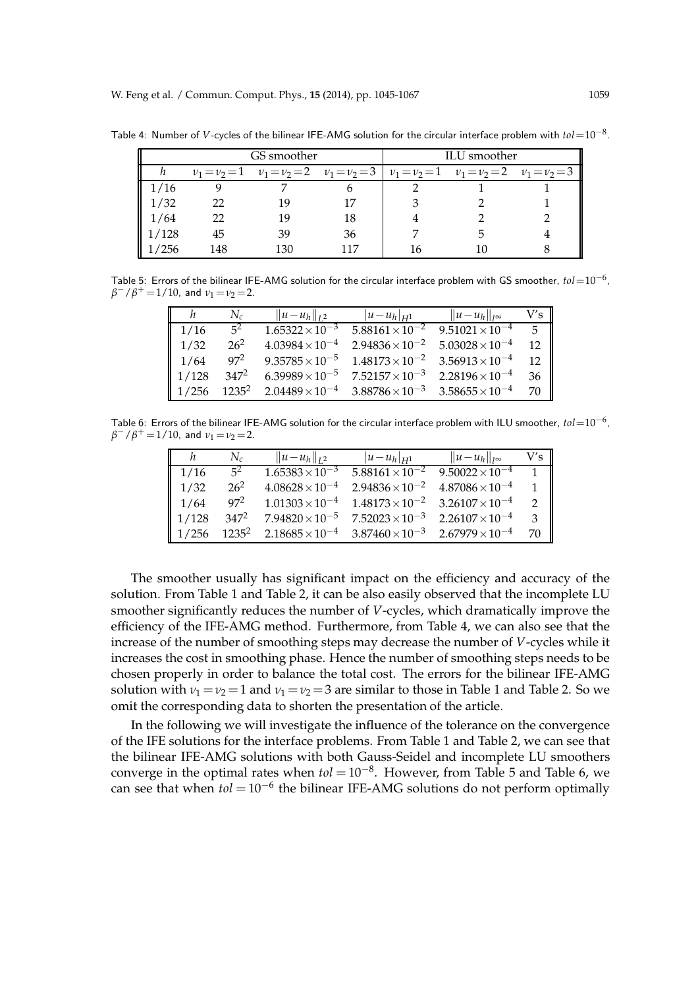|       |     | GS smoother | ILU smoother |                                                                                                 |  |
|-------|-----|-------------|--------------|-------------------------------------------------------------------------------------------------|--|
|       |     |             |              | $v_1 = v_2 = 1$ $v_1 = v_2 = 2$ $v_1 = v_2 = 3$ $v_1 = v_2 = 1$ $v_1 = v_2 = 2$ $v_1 = v_2 = 3$ |  |
| 1/16  |     |             |              |                                                                                                 |  |
| 1/32  | 22  | 1 Q         |              |                                                                                                 |  |
| 1/64  | 22  | 10          | 18           |                                                                                                 |  |
| 1/128 | 45  | 39          | 36           |                                                                                                 |  |
| 1/256 | 148 | 130         | 117          |                                                                                                 |  |

Table 4: Number of *V*-cycles of the bilinear IFE-AMG solution for the circular interface problem with *tol*=10−<sup>8</sup> .

Table 5: Errors of the bilinear IFE-AMG solution for the circular interface problem with GS smoother, *tol*=10−<sup>6</sup> ,  $\beta^-/\beta^+$  = 1/10, and  $\nu_1 = \nu_2$  = 2.

|                   | $N_c$    | $  u - u_h  _{L^2}$      | $ u-u_h _{H^1}$          | $  u-u_h  _{l^{\infty}}$ | V's               |
|-------------------|----------|--------------------------|--------------------------|--------------------------|-------------------|
| $\parallel$ 1/16  | $5^2$    | $1.65322\times10^{-3}$   | $5.88161 \times 10^{-2}$ | $9.51021 \times 10^{-4}$ | $5 \parallel$     |
| $\parallel$ 1/32  | $26^2$   | $4.03984 \times 10^{-4}$ | $2.94836 \times 10^{-2}$ | $5.03028\times10^{-4}$   | $\parallel$<br>12 |
| $\parallel$ 1/64  | $97^2$   | $9.35785 \times 10^{-5}$ | $1.48173\times10^{-2}$   | $3.56913 \times 10^{-4}$ | $12 \parallel$    |
| $\parallel$ 1/128 | $347^2$  | $6.39989 \times 10^{-5}$ | $7.52157\times10^{-3}$   | $2.28196 \times 10^{-4}$ | 36                |
| $\parallel$ 1/256 | $1235^2$ | $2.04489\times10^{-4}$   | $3.88786 \times 10^{-3}$ | $3.58655\times10^{-4}$   | 70                |

Table 6: Errors of the bilinear IFE-AMG solution for the circular interface problem with ILU smoother,  $tol{=}10^{-6}$ ,  $\beta^-/\beta^+$  = 1/10, and  $\nu_1 = \nu_2$  = 2.

| h                 | $N_c$    | $  u - u_h  _{L^2}$      | $ u-u_h _{H^1}$                                   | $  u-u_h  _{l^{\infty}}$                          | V's           |
|-------------------|----------|--------------------------|---------------------------------------------------|---------------------------------------------------|---------------|
| 1/16              | $5^2$    | $1.65383 \times 10^{-3}$ |                                                   | $5.88161 \times 10^{-2}$ $9.50022 \times 10^{-4}$ | $\mathbf{1}$  |
| 1/32              | $26^2$   | $4.08628 \times 10^{-4}$ | $2.94836 \times 10^{-2}$ $4.87086 \times 10^{-4}$ |                                                   | 1             |
| 1/64              | 972      | $1.01303 \times 10^{-4}$ |                                                   | $1.48173 \times 10^{-2}$ $3.26107 \times 10^{-4}$ | $\mathcal{D}$ |
| $\parallel$ 1/128 | $347^2$  | $7.94820\times10^{-5}$   | $7.52023\times10^{-3}$                            | $2.26107\times10^{-4}$                            | 3             |
| $1/256$           | $1235^2$ | $2.18685\times10^{-4}$   | $3.87460\times10^{-3}$                            | $2.67979 \times 10^{-4}$                          | 70            |

The smoother usually has significant impact on the efficiency and accuracy of the solution. From Table 1 and Table 2, it can be also easily observed that the incomplete LU smoother significantly reduces the number of *V*-cycles, which dramatically improve the efficiency of the IFE-AMG method. Furthermore, from Table 4, we can also see that the increase of the number of smoothing steps may decrease the number of *V*-cycles while it increases the cost in smoothing phase. Hence the number of smoothing steps needs to be chosen properly in order to balance the total cost. The errors for the bilinear IFE-AMG solution with  $v_1 = v_2 = 1$  and  $v_1 = v_2 = 3$  are similar to those in Table 1 and Table 2. So we omit the corresponding data to shorten the presentation of the article.

In the following we will investigate the influence of the tolerance on the convergence of the IFE solutions for the interface problems. From Table 1 and Table 2, we can see that the bilinear IFE-AMG solutions with both Gauss-Seidel and incomplete LU smoothers converge in the optimal rates when *tol* = 10−<sup>8</sup> . However, from Table 5 and Table 6, we can see that when *tol* = 10−<sup>6</sup> the bilinear IFE-AMG solutions do not perform optimally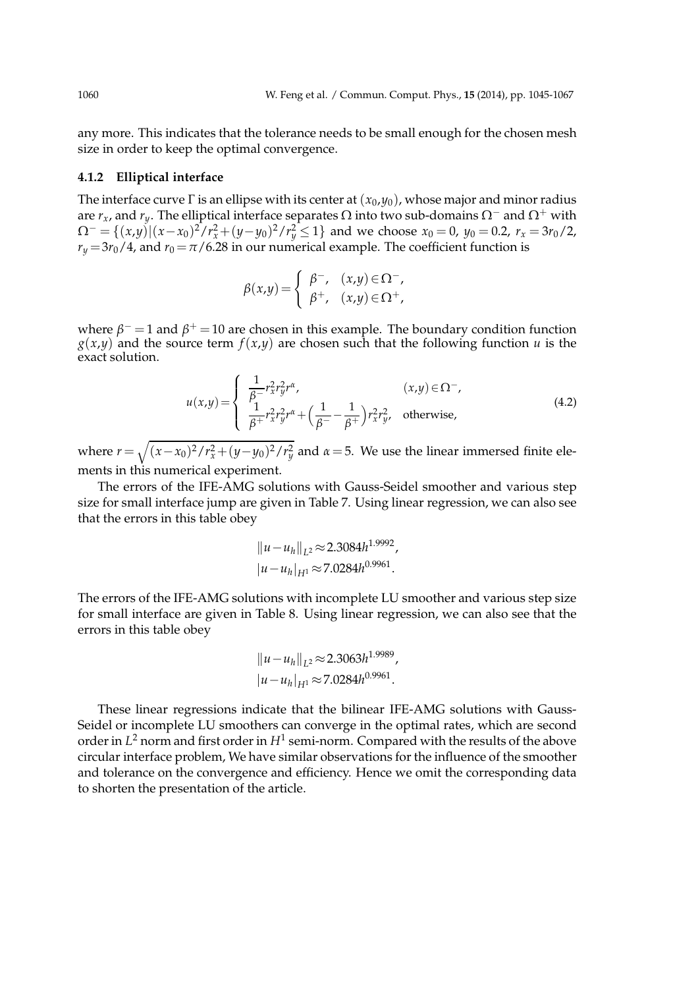any more. This indicates that the tolerance needs to be small enough for the chosen mesh size in order to keep the optimal convergence.

#### **4.1.2 Elliptical interface**

The interface curve  $\Gamma$  is an ellipse with its center at  $(x_0, y_0)$ , whose major and minor radius are  $r_x$ , and  $r_y$ . The elliptical interface separates  $\Omega$  into two sub-domains  $\Omega^-$  and  $\Omega^+$  with  $\Omega^- = \{(x,y) | (x-x_0)^2/r_x^2 + (y-y_0)^2/r_y^2 \le 1\}$  and we choose  $x_0 = 0$ ,  $y_0 = 0.2$ ,  $r_x = 3r_0/2$ ,  $r_y = 3r_0/4$ , and  $r_0 = \pi/6.28$  in our numerical example. The coefficient function is

$$
\beta(x,y) = \begin{cases} \beta^-, & (x,y) \in \Omega^-, \\ \beta^+, & (x,y) \in \Omega^+, \end{cases}
$$

where  $\beta^+$  = 1 and  $\beta^+$  = 10 are chosen in this example. The boundary condition function  $g(x,y)$  and the source term  $f(x,y)$  are chosen such that the following function *u* is the exact solution.

$$
u(x,y) = \begin{cases} \frac{1}{\beta - r_x^2 r_y^2 r^{\alpha}}, & (x,y) \in \Omega^-, \\ \frac{1}{\beta + r_x^2 r_y^2 r^{\alpha} + \left(\frac{1}{\beta - r_y^2}\right) r_x^2 r_y^2, & \text{otherwise,} \end{cases}
$$
(4.2)

where  $r = \sqrt{(x-x_0)^2/r_x^2 + (y-y_0)^2/r_y^2}$  and  $\alpha = 5$ . We use the linear immersed finite elements in this numerical experiment.

The errors of the IFE-AMG solutions with Gauss-Seidel smoother and various step size for small interface jump are given in Table 7. Using linear regression, we can also see that the errors in this table obey

$$
||u - u_h||_{L^2} \approx 2.3084h^{1.9992},
$$
  

$$
|u - u_h|_{H^1} \approx 7.0284h^{0.9961}.
$$

The errors of the IFE-AMG solutions with incomplete LU smoother and various step size for small interface are given in Table 8. Using linear regression, we can also see that the errors in this table obey

$$
||u - u_h||_{L^2} \approx 2.3063h^{1.9989},
$$
  

$$
|u - u_h|_{H^1} \approx 7.0284h^{0.9961}.
$$

These linear regressions indicate that the bilinear IFE-AMG solutions with Gauss-Seidel or incomplete LU smoothers can converge in the optimal rates, which are second order in  $L^2$  norm and first order in  $H^1$  semi-norm. Compared with the results of the above circular interface problem, We have similar observations for the influence of the smoother and tolerance on the convergence and efficiency. Hence we omit the corresponding data to shorten the presentation of the article.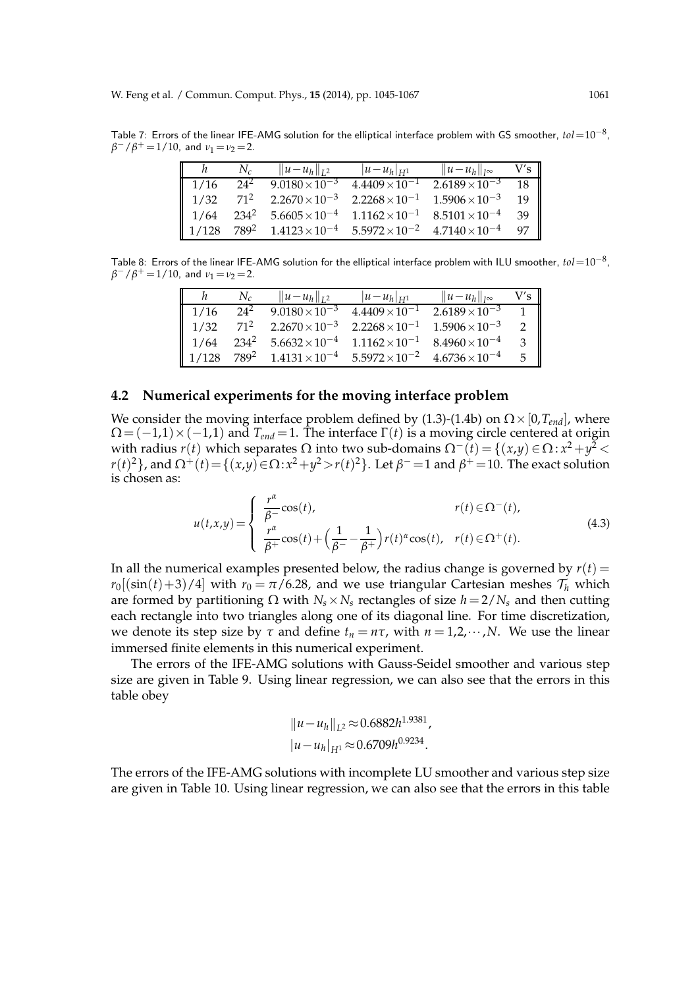Table 7: Errors of the linear IFE-AMG solution for the elliptical interface problem with GS smoother, *tol*=10−<sup>8</sup> ,  $\beta^-/\beta^+$  = 1/10, and  $\nu_1 = \nu_2$  = 2.

|                  | $N_c$            | $  u-u_h  _{L^2}$              | $ u-u_h _{H^1}$         | $  u-u_h  _{l^{\infty}}$ | V's |
|------------------|------------------|--------------------------------|-------------------------|--------------------------|-----|
| $\vert$ 1/16     | $24^2$           | $\sqrt{9.0180 \times 10^{-3}}$ | $4.4409 \times 10^{-1}$ | $2.6189 \times 10^{-3}$  | 18  |
| $\parallel$ 1/32 | $71^2$           | $2.2670\times10^{-3}$          | $2.2268 \times 10^{-1}$ | $1.5906 \times 10^{-3}$  | 19  |
| $\vert$ 1/64     | $234^{2}$        | $5.6605\times10^{-4}$          | $1.1162 \times 10^{-1}$ | $8.5101 \times 10^{-4}$  | 39  |
| 1/128            | 789 <sup>2</sup> | $1.4123 \times 10^{-4}$        | $5.5972\times10^{-2}$   | $4.7140\times10^{-4}$    | 97  |

Table 8: Errors of the linear IFE-AMG solution for the elliptical interface problem with ILU smoother, *tol*=10−<sup>8</sup> ,  $\beta^-/\beta^+$  = 1/10, and  $\nu_1 = \nu_2$  = 2.

|       | $N_c$            | $  u - u_h  _{L^2}$                             | $ u-u_h _{H^1}$         | $  u-u_h  _{I^{\infty}}$ | V′s |
|-------|------------------|-------------------------------------------------|-------------------------|--------------------------|-----|
| 1/16  | $24^{2}$         | $9.0180 \times 10^{-3}$                         | $4.4409 \times 10^{-1}$ | $2.6189 \times 10^{-3}$  |     |
| 1/32  | $71^2$           | $2.2670\times10^{-3}$                           | $2.2268 \times 10^{-1}$ | $1.5906 \times 10^{-3}$  |     |
| 1/64  | $234^2$          | $5.6632 \times 10^{-4}$ $1.1162 \times 10^{-1}$ |                         | $8.4960 \times 10^{-4}$  | 3   |
| 1/128 | 789 <sup>2</sup> | $1.4131 \times 10^{-4}$ $5.5972 \times 10^{-2}$ |                         | $4.6736 \times 10^{-4}$  | 5   |

#### **4.2 Numerical experiments for the moving interface problem**

We consider the moving interface problem defined by (1.3)-(1.4b) on  $\Omega \times [0, T_{end}]$ , where  $\Omega = (-1,1) \times (-1,1)$  and  $T_{end} = 1$ . The interface  $\Gamma(t)$  is a moving circle centered at origin with radius *r*(*t*) which separates Ω into two sub-domains  $Ω^-(t) = {(x,y) ∈ Ω : x^2 + y^2}$  <  $r(t)^2$ }, and  $\Omega^+(t)$  = { $(x,y)$  ∈  $\Omega$ :  $x^2 + y^2 > r(t)^2$ }. Let  $\beta^-$  = 1 and  $\beta^+$  = 10. The exact solution is chosen as:

$$
u(t,x,y) = \begin{cases} \frac{r^{\alpha}}{\beta -} \cos(t), & r(t) \in \Omega^{-}(t), \\ \frac{r^{\alpha}}{\beta +} \cos(t) + \left(\frac{1}{\beta^{-}} - \frac{1}{\beta^{+}}\right) r(t)^{\alpha} \cos(t), & r(t) \in \Omega^{+}(t). \end{cases}
$$
(4.3)

In all the numerical examples presented below, the radius change is governed by  $r(t)$  =  $r_0[(\sin(t)+3)/4]$  with  $r_0 = \pi/6.28$ , and we use triangular Cartesian meshes  $\mathcal{T}_h$  which are formed by partitioning Ω with  $N_s \times N_s$  rectangles of size  $h = 2/N_s$  and then cutting each rectangle into two triangles along one of its diagonal line. For time discretization, we denote its step size by  $\tau$  and define  $t_n = n\tau$ , with  $n = 1, 2, \dots, N$ . We use the linear immersed finite elements in this numerical experiment.

The errors of the IFE-AMG solutions with Gauss-Seidel smoother and various step size are given in Table 9. Using linear regression, we can also see that the errors in this table obey

$$
||u - u_h||_{L^2} \approx 0.6882h^{1.9381},
$$
  
\n
$$
|u - u_h|_{H^1} \approx 0.6709h^{0.9234}.
$$

The errors of the IFE-AMG solutions with incomplete LU smoother and various step size are given in Table 10. Using linear regression, we can also see that the errors in this table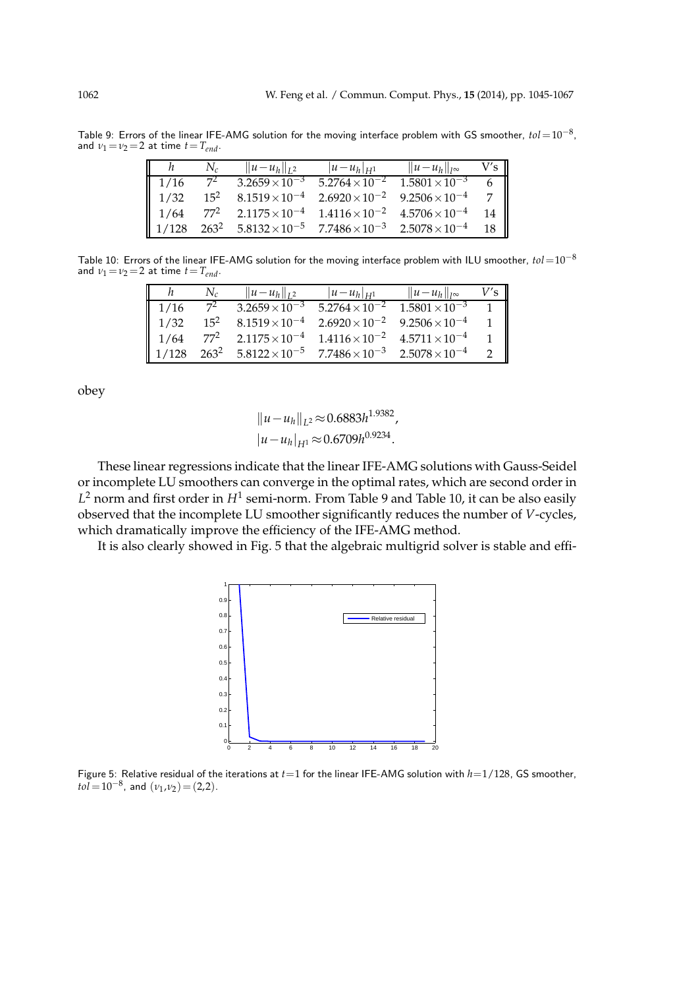Table 9: Errors of the linear IFE-AMG solution for the moving interface problem with GS smoother, *tol*=10−<sup>8</sup> , and  $v_1 = v_2 = 2$  at time  $t = T_{end}$ .

|       | $N_c$           | $  u - u_h  _{L^2}$                             | $ u-u_h _{H_1}$                                 | $  u-u_h  _{I^{\infty}}$ | V's |
|-------|-----------------|-------------------------------------------------|-------------------------------------------------|--------------------------|-----|
| 1/16  | 72              | $3.2659 \times 10^{-3}$                         | $5.2764 \times 10^{-2}$                         | $1.5801 \times 10^{-3}$  |     |
| 1/32  | $15^2$          | $8.1519\times10^{-4}$                           | $2.6920 \times 10^{-2}$ $9.2506 \times 10^{-4}$ |                          |     |
| 1/64  | 77 <sup>2</sup> | $2.1175 \times 10^{-4}$ $1.4116 \times 10^{-2}$ |                                                 | $4.5706 \times 10^{-4}$  | 14  |
| 1/128 | $263^2$         | $5.8132 \times 10^{-5}$ $7.7486 \times 10^{-3}$ |                                                 | $2.5078 \times 10^{-4}$  | 18  |

Table 10: Errors of the linear IFE-AMG solution for the moving interface problem with ILU smoother, *tol*=10−<sup>8</sup> and  $v_1 = v_2 = 2$  at time  $t = T_{end}$ .

|       | $N_c$            | $  u - u_h  _{L^2}$                             | $ u-u_h _{H_1}$                                 | $  u-u_h  _{l^{\infty}}$ |  |
|-------|------------------|-------------------------------------------------|-------------------------------------------------|--------------------------|--|
| 1/16  | $7^2$            | $3.2659 \times 10^{-3}$                         | $5.2764 \times 10^{-2}$                         | $1.5801 \times 10^{-3}$  |  |
| 1/32  | $15^2$           | $8.1519\times10^{-4}$                           | $2.6920 \times 10^{-2}$ $9.2506 \times 10^{-4}$ |                          |  |
| 1/64  | 77 <sup>2</sup>  |                                                 | $2.1175 \times 10^{-4}$ $1.4116 \times 10^{-2}$ | $4.5711 \times 10^{-4}$  |  |
| 1/128 | 263 <sup>2</sup> | $5.8122 \times 10^{-5}$ $7.7486 \times 10^{-3}$ |                                                 | $2.5078 \times 10^{-4}$  |  |

obey

$$
||u - u_h||_{L^2} \approx 0.6883h^{1.9382},
$$
  
\n
$$
|u - u_h|_{H^1} \approx 0.6709h^{0.9234}.
$$

These linear regressions indicate that the linear IFE-AMG solutions with Gauss-Seidel or incomplete LU smoothers can converge in the optimal rates, which are second order in  $L^2$  norm and first order in  $H^1$  semi-norm. From Table 9 and Table 10, it can be also easily observed that the incomplete LU smoother significantly reduces the number of *V*-cycles, which dramatically improve the efficiency of the IFE-AMG method.

It is also clearly showed in Fig. 5 that the algebraic multigrid solver is stable and effi-



Figure 5: Relative residual of the iterations at *t*=1 for the linear IFE-AMG solution with *h*=1/128, GS smoother,  $tol = 10^{-8}$ , and  $(\nu_1, \nu_2) = (2, 2)$ .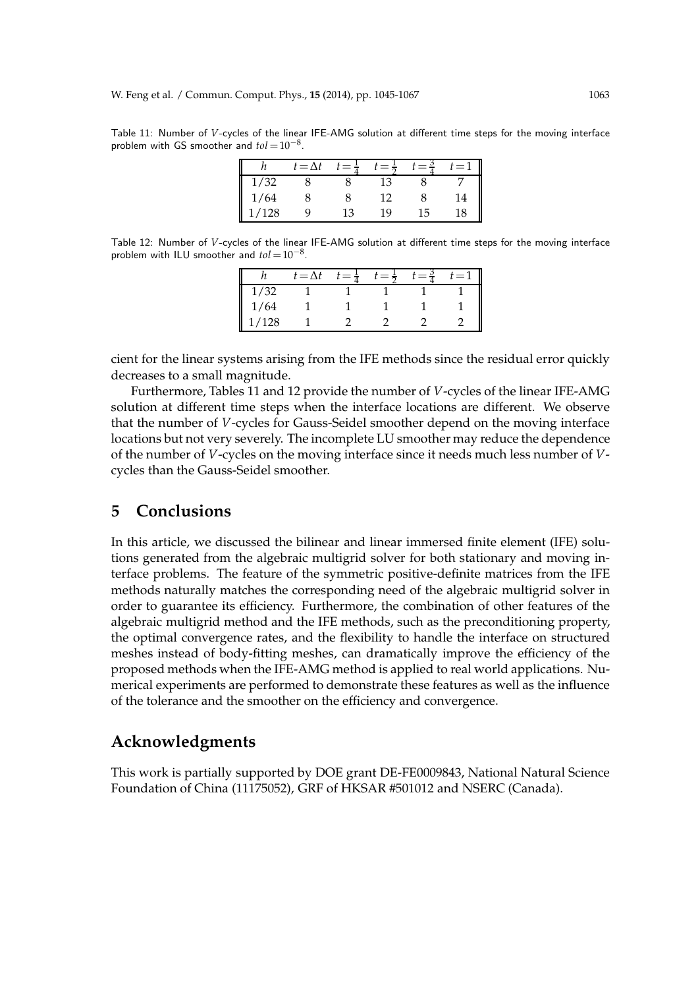Table 11: Number of *V*-cycles of the linear IFE-AMG solution at different time steps for the moving interface problem with GS smoother and  $tol = 10^{-8}$ .

|     | $t = \Delta t$ |    | $= \pi$ |    | $=$      |
|-----|----------------|----|---------|----|----------|
| /32 |                |    |         |    |          |
| /64 |                |    | 10      |    | $\Delta$ |
| 128 | O              | 13 | 19      | 15 |          |

Table 12: Number of *V*-cycles of the linear IFE-AMG solution at different time steps for the moving interface problem with ILU smoother and  $tol = 10^{-8}$ .

|       | $t = \Delta t$ | $\epsilon = \tau$ | $=$ $\pi$ | := |
|-------|----------------|-------------------|-----------|----|
| 1/32  |                |                   |           |    |
| 1/64  |                |                   |           |    |
| 1/128 |                |                   |           |    |

cient for the linear systems arising from the IFE methods since the residual error quickly decreases to a small magnitude.

Furthermore, Tables 11 and 12 provide the number of *V*-cycles of the linear IFE-AMG solution at different time steps when the interface locations are different. We observe that the number of *V*-cycles for Gauss-Seidel smoother depend on the moving interface locations but not very severely. The incomplete LU smoother may reduce the dependence of the number of *V*-cycles on the moving interface since it needs much less number of *V*cycles than the Gauss-Seidel smoother.

## **5 Conclusions**

In this article, we discussed the bilinear and linear immersed finite element (IFE) solutions generated from the algebraic multigrid solver for both stationary and moving interface problems. The feature of the symmetric positive-definite matrices from the IFE methods naturally matches the corresponding need of the algebraic multigrid solver in order to guarantee its efficiency. Furthermore, the combination of other features of the algebraic multigrid method and the IFE methods, such as the preconditioning property, the optimal convergence rates, and the flexibility to handle the interface on structured meshes instead of body-fitting meshes, can dramatically improve the efficiency of the proposed methods when the IFE-AMG method is applied to real world applications. Numerical experiments are performed to demonstrate these features as well as the influence of the tolerance and the smoother on the efficiency and convergence.

### **Acknowledgments**

This work is partially supported by DOE grant DE-FE0009843, National Natural Science Foundation of China (11175052), GRF of HKSAR #501012 and NSERC (Canada).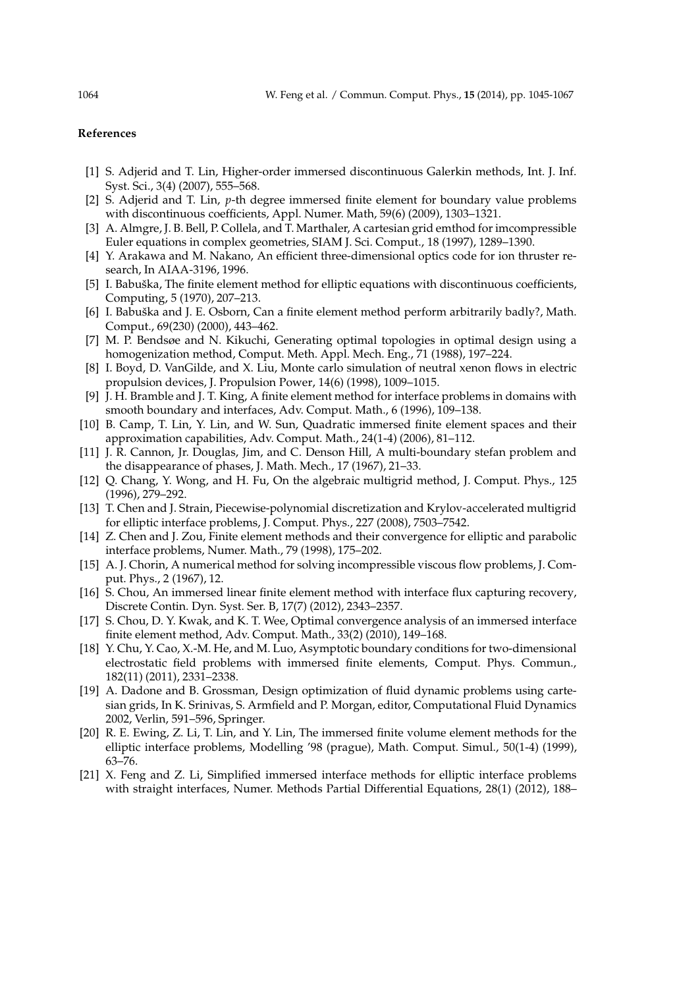#### **References**

- [1] S. Adjerid and T. Lin, Higher-order immersed discontinuous Galerkin methods, Int. J. Inf. Syst. Sci., 3(4) (2007), 555–568.
- [2] S. Adjerid and T. Lin, *p*-th degree immersed finite element for boundary value problems with discontinuous coefficients, Appl. Numer. Math, 59(6) (2009), 1303–1321.
- [3] A. Almgre, J. B. Bell, P. Collela, and T. Marthaler, A cartesian grid emthod for imcompressible Euler equations in complex geometries, SIAM J. Sci. Comput., 18 (1997), 1289–1390.
- [4] Y. Arakawa and M. Nakano, An efficient three-dimensional optics code for ion thruster research, In AIAA-3196, 1996.
- [5] I. Babuška, The finite element method for elliptic equations with discontinuous coefficients, Computing, 5 (1970), 207–213.
- [6] I. Babuška and J. E. Osborn, Can a finite element method perform arbitrarily badly?, Math. Comput., 69(230) (2000), 443–462.
- [7] M. P. Bendsøe and N. Kikuchi, Generating optimal topologies in optimal design using a homogenization method, Comput. Meth. Appl. Mech. Eng., 71 (1988), 197–224.
- [8] I. Boyd, D. VanGilde, and X. Liu, Monte carlo simulation of neutral xenon flows in electric propulsion devices, J. Propulsion Power, 14(6) (1998), 1009–1015.
- [9] J. H. Bramble and J. T. King, A finite element method for interface problems in domains with smooth boundary and interfaces, Adv. Comput. Math., 6 (1996), 109–138.
- [10] B. Camp, T. Lin, Y. Lin, and W. Sun, Quadratic immersed finite element spaces and their approximation capabilities, Adv. Comput. Math., 24(1-4) (2006), 81–112.
- [11] J. R. Cannon, Jr. Douglas, Jim, and C. Denson Hill, A multi-boundary stefan problem and the disappearance of phases, J. Math. Mech., 17 (1967), 21–33.
- [12] Q. Chang, Y. Wong, and H. Fu, On the algebraic multigrid method, J. Comput. Phys., 125 (1996), 279–292.
- [13] T. Chen and J. Strain, Piecewise-polynomial discretization and Krylov-accelerated multigrid for elliptic interface problems, J. Comput. Phys., 227 (2008), 7503–7542.
- [14] Z. Chen and J. Zou, Finite element methods and their convergence for elliptic and parabolic interface problems, Numer. Math., 79 (1998), 175–202.
- [15] A. J. Chorin, A numerical method for solving incompressible viscous flow problems, J. Comput. Phys., 2 (1967), 12.
- [16] S. Chou, An immersed linear finite element method with interface flux capturing recovery, Discrete Contin. Dyn. Syst. Ser. B, 17(7) (2012), 2343–2357.
- [17] S. Chou, D. Y. Kwak, and K. T. Wee, Optimal convergence analysis of an immersed interface finite element method, Adv. Comput. Math., 33(2) (2010), 149–168.
- [18] Y. Chu, Y. Cao, X.-M. He, and M. Luo, Asymptotic boundary conditions for two-dimensional electrostatic field problems with immersed finite elements, Comput. Phys. Commun., 182(11) (2011), 2331–2338.
- [19] A. Dadone and B. Grossman, Design optimization of fluid dynamic problems using cartesian grids, In K. Srinivas, S. Armfield and P. Morgan, editor, Computational Fluid Dynamics 2002, Verlin, 591–596, Springer.
- [20] R. E. Ewing, Z. Li, T. Lin, and Y. Lin, The immersed finite volume element methods for the elliptic interface problems, Modelling '98 (prague), Math. Comput. Simul., 50(1-4) (1999), 63–76.
- [21] X. Feng and Z. Li, Simplified immersed interface methods for elliptic interface problems with straight interfaces, Numer. Methods Partial Differential Equations, 28(1) (2012), 188–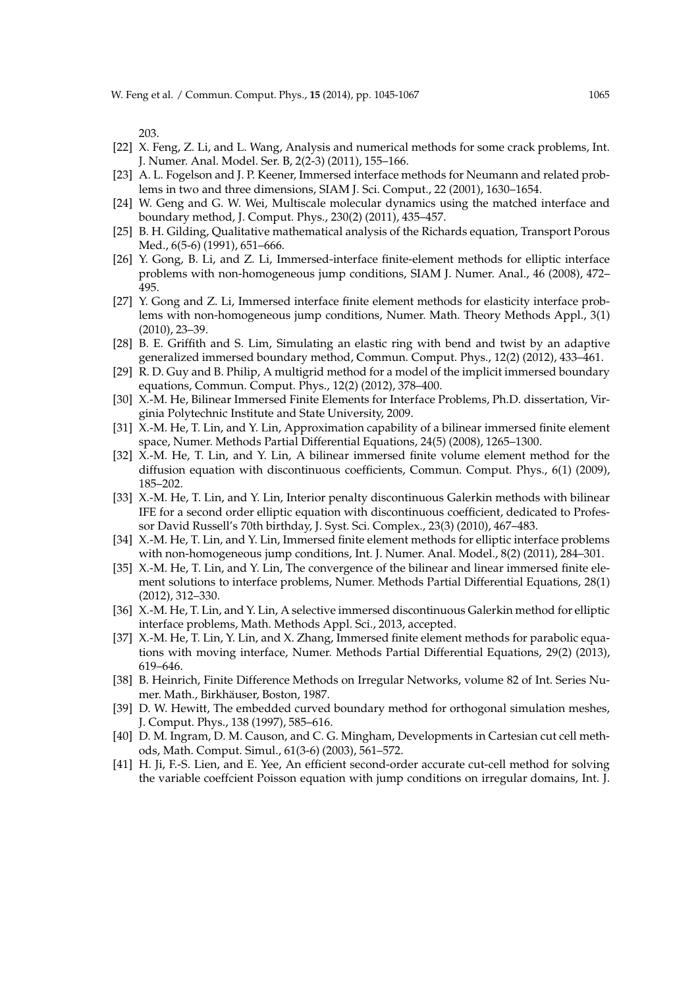203.

- [22] X. Feng, Z. Li, and L. Wang, Analysis and numerical methods for some crack problems, Int. J. Numer. Anal. Model. Ser. B, 2(2-3) (2011), 155–166.
- [23] A. L. Fogelson and J. P. Keener, Immersed interface methods for Neumann and related problems in two and three dimensions, SIAM J. Sci. Comput., 22 (2001), 1630–1654.
- [24] W. Geng and G. W. Wei, Multiscale molecular dynamics using the matched interface and boundary method, J. Comput. Phys., 230(2) (2011), 435–457.
- [25] B. H. Gilding, Qualitative mathematical analysis of the Richards equation, Transport Porous Med., 6(5-6) (1991), 651–666.
- [26] Y. Gong, B. Li, and Z. Li, Immersed-interface finite-element methods for elliptic interface problems with non-homogeneous jump conditions, SIAM J. Numer. Anal., 46 (2008), 472– 495.
- [27] Y. Gong and Z. Li, Immersed interface finite element methods for elasticity interface problems with non-homogeneous jump conditions, Numer. Math. Theory Methods Appl., 3(1) (2010), 23–39.
- [28] B. E. Griffith and S. Lim, Simulating an elastic ring with bend and twist by an adaptive generalized immersed boundary method, Commun. Comput. Phys., 12(2) (2012), 433–461.
- [29] R. D. Guy and B. Philip, A multigrid method for a model of the implicit immersed boundary equations, Commun. Comput. Phys., 12(2) (2012), 378–400.
- [30] X.-M. He, Bilinear Immersed Finite Elements for Interface Problems, Ph.D. dissertation, Virginia Polytechnic Institute and State University, 2009.
- [31] X.-M. He, T. Lin, and Y. Lin, Approximation capability of a bilinear immersed finite element space, Numer. Methods Partial Differential Equations, 24(5) (2008), 1265–1300.
- [32] X.-M. He, T. Lin, and Y. Lin, A bilinear immersed finite volume element method for the diffusion equation with discontinuous coefficients, Commun. Comput. Phys., 6(1) (2009), 185–202.
- [33] X.-M. He, T. Lin, and Y. Lin, Interior penalty discontinuous Galerkin methods with bilinear IFE for a second order elliptic equation with discontinuous coefficient, dedicated to Professor David Russell's 70th birthday, J. Syst. Sci. Complex., 23(3) (2010), 467–483.
- [34] X.-M. He, T. Lin, and Y. Lin, Immersed finite element methods for elliptic interface problems with non-homogeneous jump conditions, Int. J. Numer. Anal. Model., 8(2) (2011), 284–301.
- [35] X.-M. He, T. Lin, and Y. Lin, The convergence of the bilinear and linear immersed finite element solutions to interface problems, Numer. Methods Partial Differential Equations, 28(1) (2012), 312–330.
- [36] X.-M. He, T. Lin, and Y. Lin, A selective immersed discontinuous Galerkin method for elliptic interface problems, Math. Methods Appl. Sci., 2013, accepted.
- [37] X.-M. He, T. Lin, Y. Lin, and X. Zhang, Immersed finite element methods for parabolic equations with moving interface, Numer. Methods Partial Differential Equations, 29(2) (2013), 619–646.
- [38] B. Heinrich, Finite Difference Methods on Irregular Networks, volume 82 of Int. Series Numer. Math., Birkhäuser, Boston, 1987.
- [39] D. W. Hewitt, The embedded curved boundary method for orthogonal simulation meshes, J. Comput. Phys., 138 (1997), 585–616.
- [40] D. M. Ingram, D. M. Causon, and C. G. Mingham, Developments in Cartesian cut cell methods, Math. Comput. Simul., 61(3-6) (2003), 561–572.
- [41] H. Ji, F.-S. Lien, and E. Yee, An efficient second-order accurate cut-cell method for solving the variable coeffcient Poisson equation with jump conditions on irregular domains, Int. J.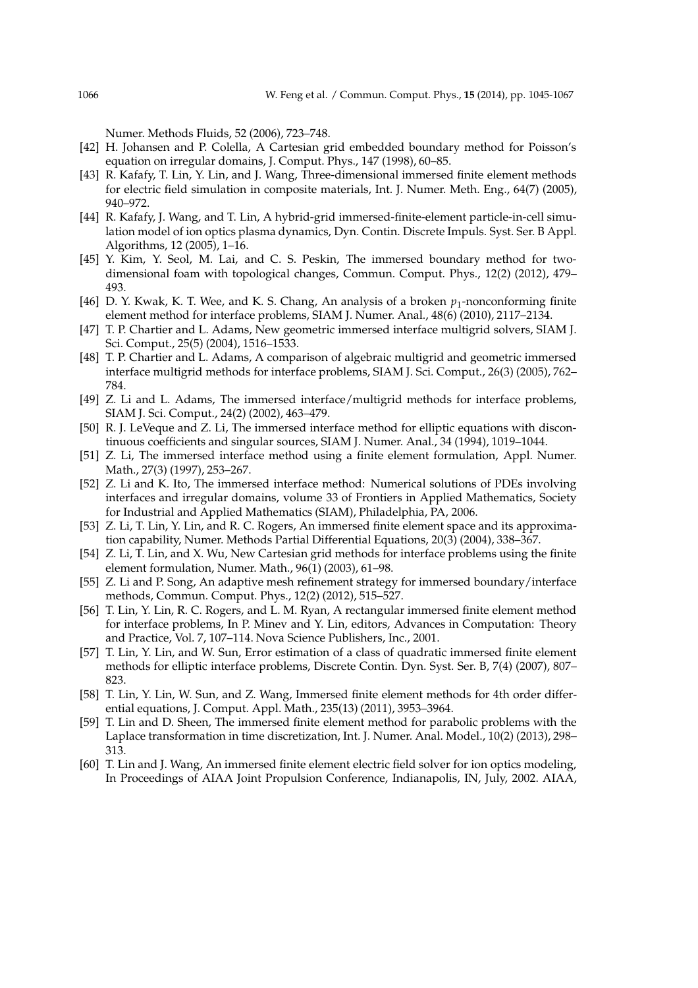Numer. Methods Fluids, 52 (2006), 723–748.

- [42] H. Johansen and P. Colella, A Cartesian grid embedded boundary method for Poisson's equation on irregular domains, J. Comput. Phys., 147 (1998), 60–85.
- [43] R. Kafafy, T. Lin, Y. Lin, and J. Wang, Three-dimensional immersed finite element methods for electric field simulation in composite materials, Int. J. Numer. Meth. Eng., 64(7) (2005), 940–972.
- [44] R. Kafafy, J. Wang, and T. Lin, A hybrid-grid immersed-finite-element particle-in-cell simulation model of ion optics plasma dynamics, Dyn. Contin. Discrete Impuls. Syst. Ser. B Appl. Algorithms, 12 (2005), 1–16.
- [45] Y. Kim, Y. Seol, M. Lai, and C. S. Peskin, The immersed boundary method for twodimensional foam with topological changes, Commun. Comput. Phys., 12(2) (2012), 479– 493.
- [46] D. Y. Kwak, K. T. Wee, and K. S. Chang, An analysis of a broken  $p_1$ -nonconforming finite element method for interface problems, SIAM J. Numer. Anal., 48(6) (2010), 2117–2134.
- [47] T. P. Chartier and L. Adams, New geometric immersed interface multigrid solvers, SIAM J. Sci. Comput., 25(5) (2004), 1516–1533.
- [48] T. P. Chartier and L. Adams, A comparison of algebraic multigrid and geometric immersed interface multigrid methods for interface problems, SIAM J. Sci. Comput., 26(3) (2005), 762– 784.
- [49] Z. Li and L. Adams, The immersed interface/multigrid methods for interface problems, SIAM J. Sci. Comput., 24(2) (2002), 463–479.
- [50] R. J. LeVeque and Z. Li, The immersed interface method for elliptic equations with discontinuous coefficients and singular sources, SIAM J. Numer. Anal., 34 (1994), 1019-1044.
- [51] Z. Li, The immersed interface method using a finite element formulation, Appl. Numer. Math., 27(3) (1997), 253–267.
- [52] Z. Li and K. Ito, The immersed interface method: Numerical solutions of PDEs involving interfaces and irregular domains, volume 33 of Frontiers in Applied Mathematics, Society for Industrial and Applied Mathematics (SIAM), Philadelphia, PA, 2006.
- [53] Z. Li, T. Lin, Y. Lin, and R. C. Rogers, An immersed finite element space and its approximation capability, Numer. Methods Partial Differential Equations, 20(3) (2004), 338–367.
- [54] Z. Li, T. Lin, and X. Wu, New Cartesian grid methods for interface problems using the finite element formulation, Numer. Math., 96(1) (2003), 61–98.
- [55] Z. Li and P. Song, An adaptive mesh refinement strategy for immersed boundary/interface methods, Commun. Comput. Phys., 12(2) (2012), 515–527.
- [56] T. Lin, Y. Lin, R. C. Rogers, and L. M. Ryan, A rectangular immersed finite element method for interface problems, In P. Minev and Y. Lin, editors, Advances in Computation: Theory and Practice, Vol. 7, 107–114. Nova Science Publishers, Inc., 2001.
- [57] T. Lin, Y. Lin, and W. Sun, Error estimation of a class of quadratic immersed finite element methods for elliptic interface problems, Discrete Contin. Dyn. Syst. Ser. B, 7(4) (2007), 807– 823.
- [58] T. Lin, Y. Lin, W. Sun, and Z. Wang, Immersed finite element methods for 4th order differential equations, J. Comput. Appl. Math., 235(13) (2011), 3953–3964.
- [59] T. Lin and D. Sheen, The immersed finite element method for parabolic problems with the Laplace transformation in time discretization, Int. J. Numer. Anal. Model., 10(2) (2013), 298– 313.
- [60] T. Lin and J. Wang, An immersed finite element electric field solver for ion optics modeling, In Proceedings of AIAA Joint Propulsion Conference, Indianapolis, IN, July, 2002. AIAA,